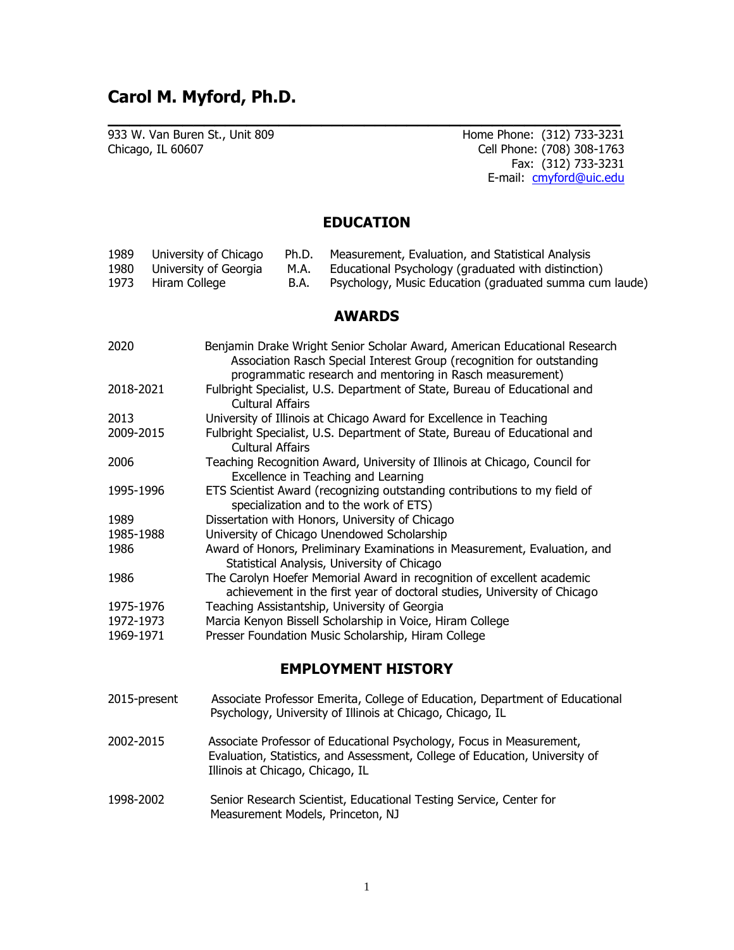## **Carol M. Myford, Ph.D.**

933 W. Van Buren St., Unit 809 Chicago, IL 60607

Home Phone: (312) 733-3231 Cell Phone: (708) 308-1763 Fax: (312) 733-3231 E-mail: [cmyford@uic.edu](mailto:cmyford@uic.edu)

### **EDUCATION**

**\_\_\_\_\_\_\_\_\_\_\_\_\_\_\_\_\_\_\_\_\_\_\_\_\_\_\_\_\_\_\_\_\_\_\_\_\_\_\_\_\_\_\_\_\_\_\_\_**

| 1989 | University of Chicago      |      | Ph.D. Measurement, Evaluation, and Statistical Analysis |
|------|----------------------------|------|---------------------------------------------------------|
|      | 1980 University of Georgia | M.A. | Educational Psychology (graduated with distinction)     |
| 1973 | Hiram College              | B.A. | Psychology, Music Education (graduated summa cum laude) |

### **AWARDS**

| 2020      | Benjamin Drake Wright Senior Scholar Award, American Educational Research<br>Association Rasch Special Interest Group (recognition for outstanding<br>programmatic research and mentoring in Rasch measurement) |
|-----------|-----------------------------------------------------------------------------------------------------------------------------------------------------------------------------------------------------------------|
| 2018-2021 | Fulbright Specialist, U.S. Department of State, Bureau of Educational and<br><b>Cultural Affairs</b>                                                                                                            |
| 2013      | University of Illinois at Chicago Award for Excellence in Teaching                                                                                                                                              |
| 2009-2015 | Fulbright Specialist, U.S. Department of State, Bureau of Educational and<br>Cultural Affairs                                                                                                                   |
| 2006      | Teaching Recognition Award, University of Illinois at Chicago, Council for<br>Excellence in Teaching and Learning                                                                                               |
| 1995-1996 | ETS Scientist Award (recognizing outstanding contributions to my field of<br>specialization and to the work of ETS)                                                                                             |
| 1989      | Dissertation with Honors, University of Chicago                                                                                                                                                                 |
| 1985-1988 | University of Chicago Unendowed Scholarship                                                                                                                                                                     |
| 1986      | Award of Honors, Preliminary Examinations in Measurement, Evaluation, and<br>Statistical Analysis, University of Chicago                                                                                        |
| 1986      | The Carolyn Hoefer Memorial Award in recognition of excellent academic<br>achievement in the first year of doctoral studies, University of Chicago                                                              |
| 1975-1976 | Teaching Assistantship, University of Georgia                                                                                                                                                                   |
| 1972-1973 | Marcia Kenyon Bissell Scholarship in Voice, Hiram College                                                                                                                                                       |
| 1969-1971 | Presser Foundation Music Scholarship, Hiram College                                                                                                                                                             |

## **EMPLOYMENT HISTORY**

- 2015-present Associate Professor Emerita, College of Education, Department of Educational Psychology, University of Illinois at Chicago, Chicago, IL
- 2002-2015 Associate Professor of Educational Psychology, Focus in Measurement, Evaluation, Statistics, and Assessment, College of Education, University of Illinois at Chicago, Chicago, IL
- 1998-2002 Senior Research Scientist, Educational Testing Service, Center for Measurement Models, Princeton, NJ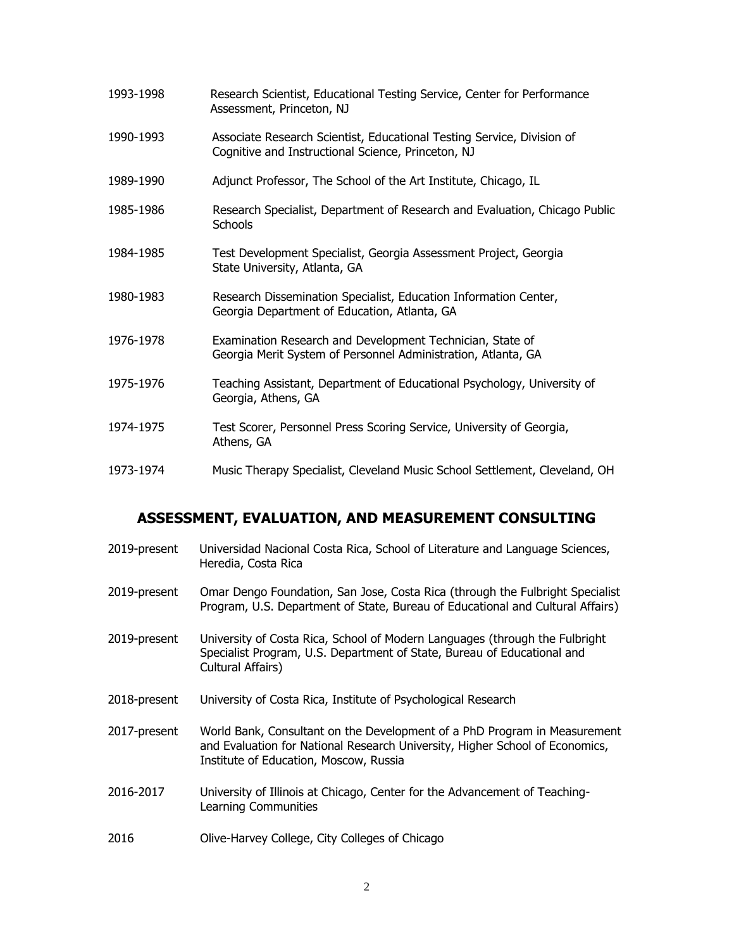| 1993-1998 | Research Scientist, Educational Testing Service, Center for Performance<br>Assessment, Princeton, NJ                         |
|-----------|------------------------------------------------------------------------------------------------------------------------------|
| 1990-1993 | Associate Research Scientist, Educational Testing Service, Division of<br>Cognitive and Instructional Science, Princeton, NJ |
| 1989-1990 | Adjunct Professor, The School of the Art Institute, Chicago, IL                                                              |
| 1985-1986 | Research Specialist, Department of Research and Evaluation, Chicago Public<br><b>Schools</b>                                 |
| 1984-1985 | Test Development Specialist, Georgia Assessment Project, Georgia<br>State University, Atlanta, GA                            |
| 1980-1983 | Research Dissemination Specialist, Education Information Center,<br>Georgia Department of Education, Atlanta, GA             |
| 1976-1978 | Examination Research and Development Technician, State of<br>Georgia Merit System of Personnel Administration, Atlanta, GA   |
| 1975-1976 | Teaching Assistant, Department of Educational Psychology, University of<br>Georgia, Athens, GA                               |
| 1974-1975 | Test Scorer, Personnel Press Scoring Service, University of Georgia,<br>Athens, GA                                           |
| 1973-1974 | Music Therapy Specialist, Cleveland Music School Settlement, Cleveland, OH                                                   |

# **ASSESSMENT, EVALUATION, AND MEASUREMENT CONSULTING**

| 2019-present | Universidad Nacional Costa Rica, School of Literature and Language Sciences,<br>Heredia, Costa Rica                                                                                                 |
|--------------|-----------------------------------------------------------------------------------------------------------------------------------------------------------------------------------------------------|
| 2019-present | Omar Dengo Foundation, San Jose, Costa Rica (through the Fulbright Specialist<br>Program, U.S. Department of State, Bureau of Educational and Cultural Affairs)                                     |
| 2019-present | University of Costa Rica, School of Modern Languages (through the Fulbright<br>Specialist Program, U.S. Department of State, Bureau of Educational and<br>Cultural Affairs)                         |
| 2018-present | University of Costa Rica, Institute of Psychological Research                                                                                                                                       |
| 2017-present | World Bank, Consultant on the Development of a PhD Program in Measurement<br>and Evaluation for National Research University, Higher School of Economics,<br>Institute of Education, Moscow, Russia |
| 2016-2017    | University of Illinois at Chicago, Center for the Advancement of Teaching-<br>Learning Communities                                                                                                  |
| 2016         | Olive-Harvey College, City Colleges of Chicago                                                                                                                                                      |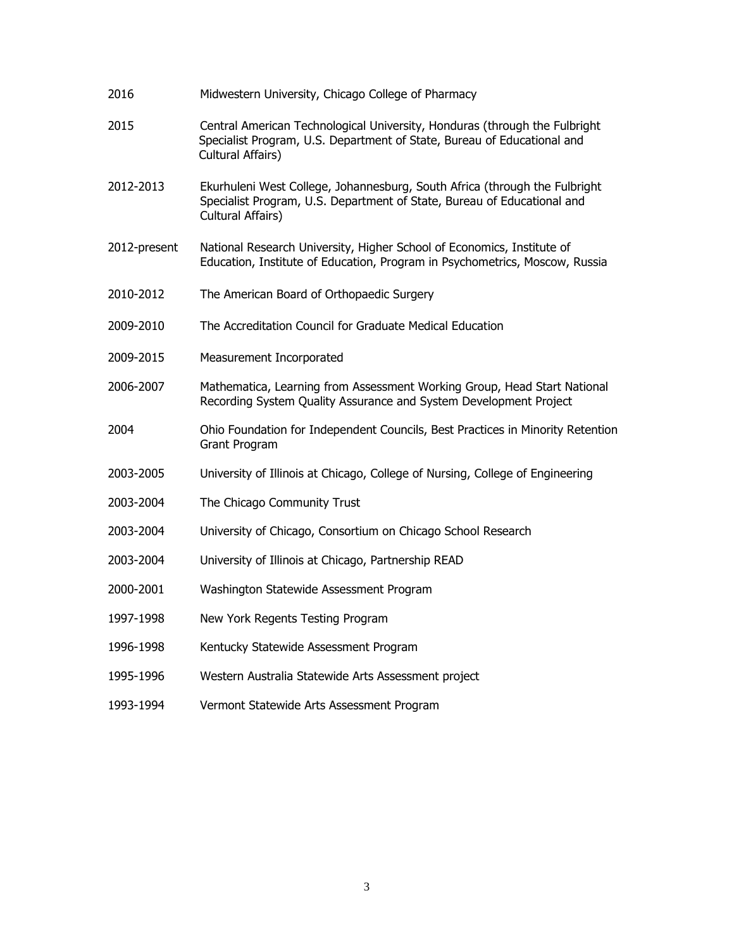| 2016         | Midwestern University, Chicago College of Pharmacy                                                                                                                         |
|--------------|----------------------------------------------------------------------------------------------------------------------------------------------------------------------------|
| 2015         | Central American Technological University, Honduras (through the Fulbright<br>Specialist Program, U.S. Department of State, Bureau of Educational and<br>Cultural Affairs) |
| 2012-2013    | Ekurhuleni West College, Johannesburg, South Africa (through the Fulbright<br>Specialist Program, U.S. Department of State, Bureau of Educational and<br>Cultural Affairs) |
| 2012-present | National Research University, Higher School of Economics, Institute of<br>Education, Institute of Education, Program in Psychometrics, Moscow, Russia                      |
| 2010-2012    | The American Board of Orthopaedic Surgery                                                                                                                                  |
| 2009-2010    | The Accreditation Council for Graduate Medical Education                                                                                                                   |
| 2009-2015    | Measurement Incorporated                                                                                                                                                   |
| 2006-2007    | Mathematica, Learning from Assessment Working Group, Head Start National<br>Recording System Quality Assurance and System Development Project                              |
| 2004         | Ohio Foundation for Independent Councils, Best Practices in Minority Retention<br>Grant Program                                                                            |
| 2003-2005    | University of Illinois at Chicago, College of Nursing, College of Engineering                                                                                              |
| 2003-2004    | The Chicago Community Trust                                                                                                                                                |
| 2003-2004    | University of Chicago, Consortium on Chicago School Research                                                                                                               |
| 2003-2004    | University of Illinois at Chicago, Partnership READ                                                                                                                        |
| 2000-2001    | Washington Statewide Assessment Program                                                                                                                                    |
| 1997-1998    | New York Regents Testing Program                                                                                                                                           |
| 1996-1998    | Kentucky Statewide Assessment Program                                                                                                                                      |
| 1995-1996    | Western Australia Statewide Arts Assessment project                                                                                                                        |
| 1993-1994    | Vermont Statewide Arts Assessment Program                                                                                                                                  |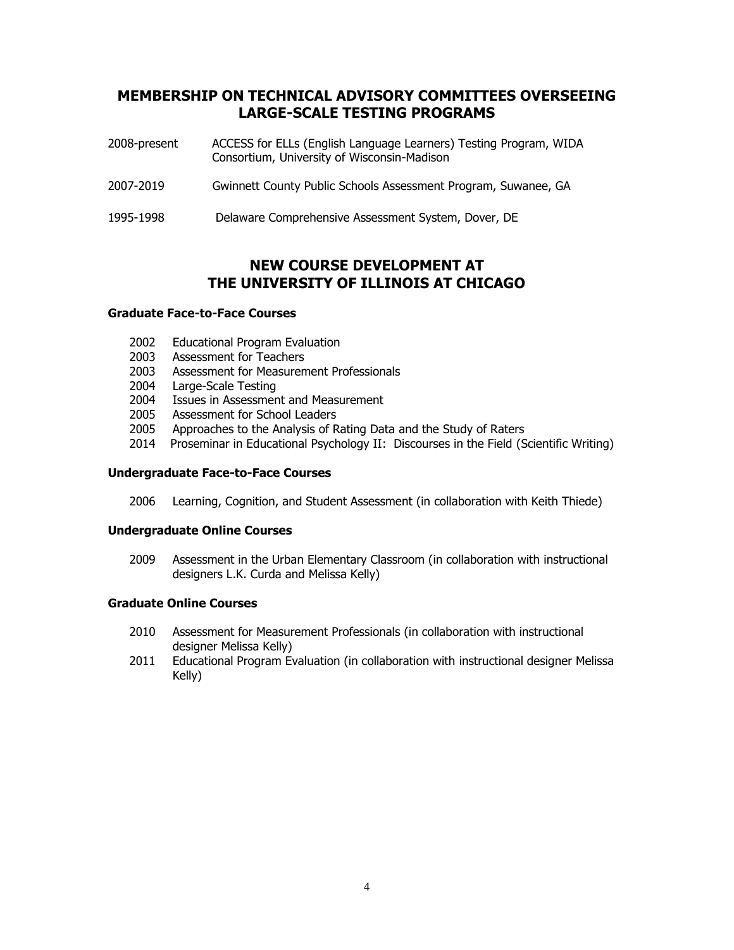## **MEMBERSHIP ON TECHNICAL ADVISORY COMMITTEES OVERSEEING LARGE-SCALE TESTING PROGRAMS**

| 2008-present | ACCESS for ELLs (English Language Learners) Testing Program, WIDA<br>Consortium, University of Wisconsin-Madison |
|--------------|------------------------------------------------------------------------------------------------------------------|
| 2007-2019    | Gwinnett County Public Schools Assessment Program, Suwanee, GA                                                   |
| 1995-1998    | Delaware Comprehensive Assessment System, Dover, DE                                                              |

## **NEW COURSE DEVELOPMENT AT THE UNIVERSITY OF ILLINOIS AT CHICAGO**

### **Graduate Face-to-Face Courses**

- 2002 Educational Program Evaluation
- 2003 Assessment for Teachers
- 2003 Assessment for Measurement Professionals
- 2004 Large-Scale Testing
- 2004 Issues in Assessment and Measurement
- 2005 Assessment for School Leaders
- 2005 Approaches to the Analysis of Rating Data and the Study of Raters
- 2014 Proseminar in Educational Psychology II: Discourses in the Field (Scientific Writing)

#### **Undergraduate Face-to-Face Courses**

2006 Learning, Cognition, and Student Assessment (in collaboration with Keith Thiede)

#### **Undergraduate Online Courses**

2009 Assessment in the Urban Elementary Classroom (in collaboration with instructional designers L.K. Curda and Melissa Kelly)

#### **Graduate Online Courses**

- 2010 Assessment for Measurement Professionals (in collaboration with instructional designer Melissa Kelly)
- 2011 Educational Program Evaluation (in collaboration with instructional designer Melissa Kelly)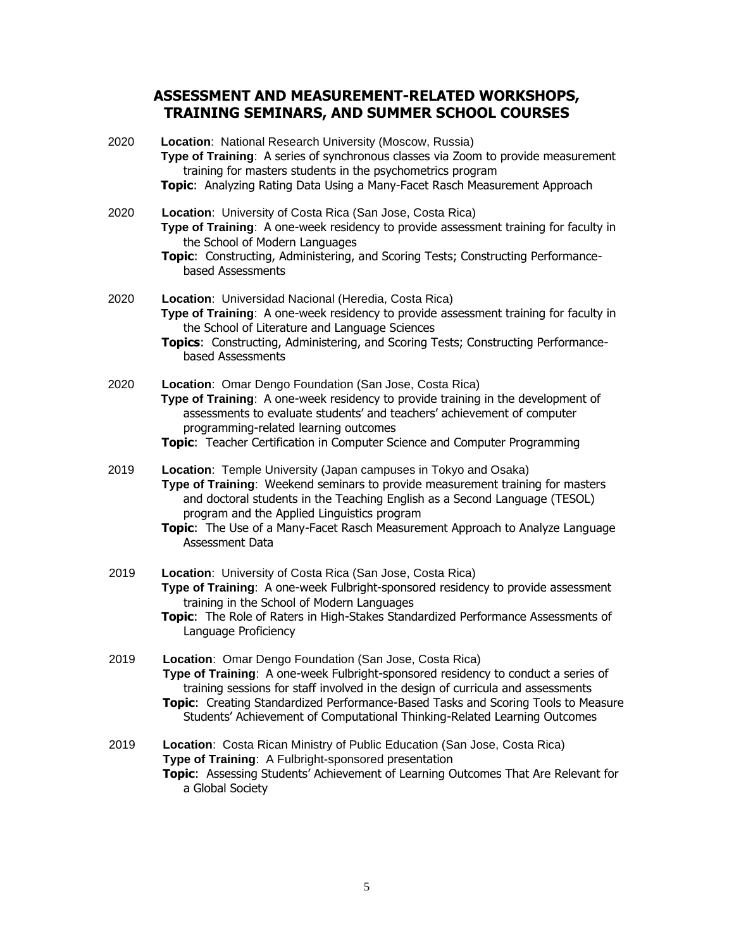## **ASSESSMENT AND MEASUREMENT-RELATED WORKSHOPS, TRAINING SEMINARS, AND SUMMER SCHOOL COURSES**

| 2020 | Location: National Research University (Moscow, Russia)<br>Type of Training: A series of synchronous classes via Zoom to provide measurement<br>training for masters students in the psychometrics program<br>Topic: Analyzing Rating Data Using a Many-Facet Rasch Measurement Approach                                                                                                         |
|------|--------------------------------------------------------------------------------------------------------------------------------------------------------------------------------------------------------------------------------------------------------------------------------------------------------------------------------------------------------------------------------------------------|
| 2020 | Location: University of Costa Rica (San Jose, Costa Rica)<br>Type of Training: A one-week residency to provide assessment training for faculty in<br>the School of Modern Languages<br>Topic: Constructing, Administering, and Scoring Tests; Constructing Performance-<br>based Assessments                                                                                                     |
| 2020 | Location: Universidad Nacional (Heredia, Costa Rica)<br>Type of Training: A one-week residency to provide assessment training for faculty in<br>the School of Literature and Language Sciences<br>Topics: Constructing, Administering, and Scoring Tests; Constructing Performance-<br>based Assessments                                                                                         |
| 2020 | Location: Omar Dengo Foundation (San Jose, Costa Rica)<br>Type of Training: A one-week residency to provide training in the development of<br>assessments to evaluate students' and teachers' achievement of computer<br>programming-related learning outcomes<br><b>Topic:</b> Teacher Certification in Computer Science and Computer Programming                                               |
| 2019 | Location: Temple University (Japan campuses in Tokyo and Osaka)<br>Type of Training: Weekend seminars to provide measurement training for masters<br>and doctoral students in the Teaching English as a Second Language (TESOL)<br>program and the Applied Linguistics program<br>Topic: The Use of a Many-Facet Rasch Measurement Approach to Analyze Language<br>Assessment Data               |
| 2019 | Location: University of Costa Rica (San Jose, Costa Rica)<br>Type of Training: A one-week Fulbright-sponsored residency to provide assessment<br>training in the School of Modern Languages<br>Topic: The Role of Raters in High-Stakes Standardized Performance Assessments of<br>Language Proficiency                                                                                          |
| 2019 | Location: Omar Dengo Foundation (San Jose, Costa Rica)<br>Type of Training: A one-week Fulbright-sponsored residency to conduct a series of<br>training sessions for staff involved in the design of curricula and assessments<br>Topic: Creating Standardized Performance-Based Tasks and Scoring Tools to Measure<br>Students' Achievement of Computational Thinking-Related Learning Outcomes |
| 2019 | Location: Costa Rican Ministry of Public Education (San Jose, Costa Rica)<br>Type of Training: A Fulbright-sponsored presentation<br>Topic: Assessing Students' Achievement of Learning Outcomes That Are Relevant for<br>a Global Society                                                                                                                                                       |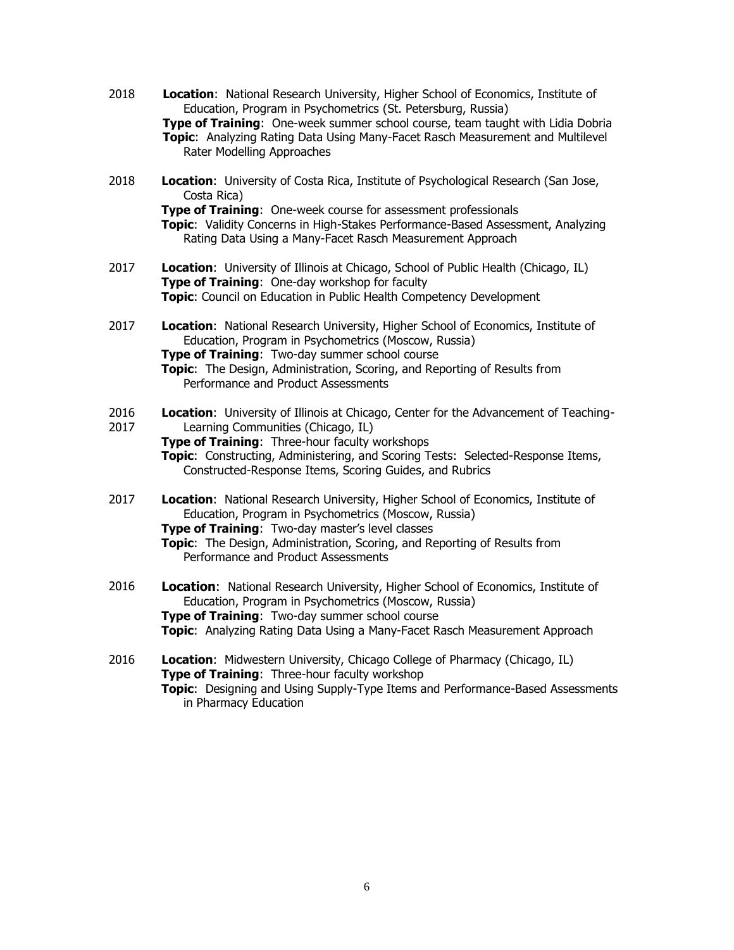- 2018 **Location**: National Research University, Higher School of Economics, Institute of Education, Program in Psychometrics (St. Petersburg, Russia) **Type of Training**: One-week summer school course, team taught with Lidia Dobria **Topic**: Analyzing Rating Data Using Many-Facet Rasch Measurement and Multilevel Rater Modelling Approaches
- 2018 **Location**: University of Costa Rica, Institute of Psychological Research (San Jose, Costa Rica)

**Type of Training:** One-week course for assessment professionals **Topic**: Validity Concerns in High-Stakes Performance-Based Assessment, Analyzing Rating Data Using a Many-Facet Rasch Measurement Approach

- 2017 **Location**: University of Illinois at Chicago, School of Public Health (Chicago, IL) **Type of Training**: One-day workshop for faculty **Topic**: Council on Education in Public Health Competency Development
- 2017 **Location**: National Research University, Higher School of Economics, Institute of Education, Program in Psychometrics (Moscow, Russia) **Type of Training**: Two-day summer school course **Topic**: The Design, Administration, Scoring, and Reporting of Results from Performance and Product Assessments
- 2016 2017 **Location**: University of Illinois at Chicago, Center for the Advancement of Teaching-Learning Communities (Chicago, IL) **Type of Training**: Three-hour faculty workshops
	- **Topic**: Constructing, Administering, and Scoring Tests: Selected-Response Items, Constructed-Response Items, Scoring Guides, and Rubrics
- 2017 **Location**: National Research University, Higher School of Economics, Institute of Education, Program in Psychometrics (Moscow, Russia) **Type of Training**: Two-day master's level classes **Topic**: The Design, Administration, Scoring, and Reporting of Results from Performance and Product Assessments
- 2016 **Location**: National Research University, Higher School of Economics, Institute of Education, Program in Psychometrics (Moscow, Russia) **Type of Training**: Two-day summer school course **Topic**: Analyzing Rating Data Using a Many-Facet Rasch Measurement Approach
- 2016 **Location**: Midwestern University, Chicago College of Pharmacy (Chicago, IL) **Type of Training:** Three-hour faculty workshop **Topic**: Designing and Using Supply-Type Items and Performance-Based Assessments in Pharmacy Education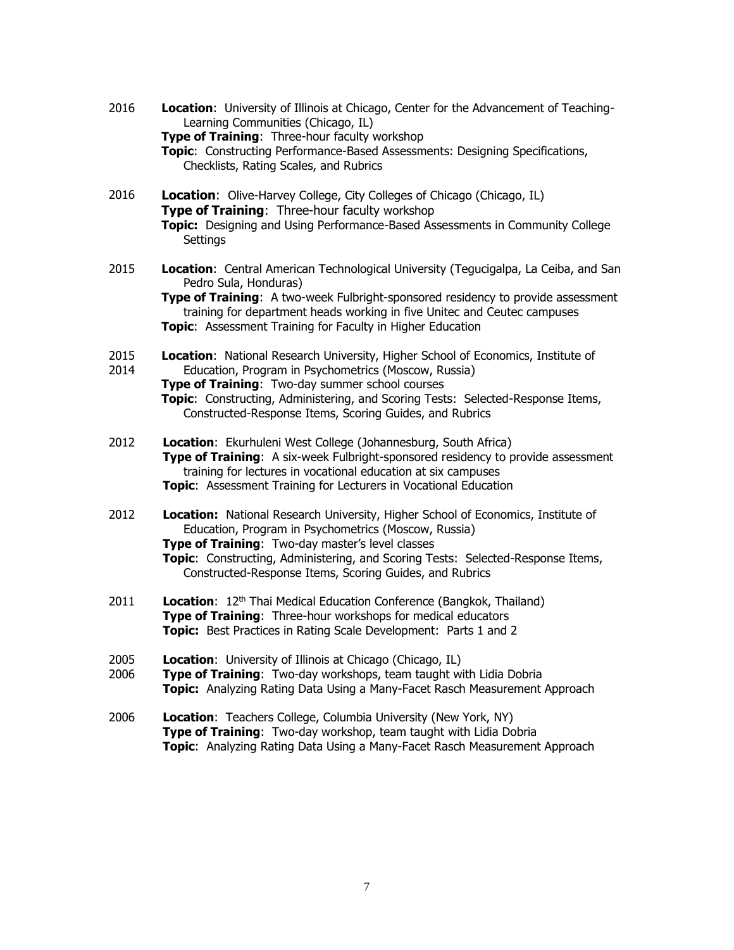- 2016 **Location**: University of Illinois at Chicago, Center for the Advancement of Teaching-Learning Communities (Chicago, IL) **Type of Training:** Three-hour faculty workshop **Topic**: Constructing Performance-Based Assessments: Designing Specifications, Checklists, Rating Scales, and Rubrics
- 2016 **Location**: Olive-Harvey College, City Colleges of Chicago (Chicago, IL) **Type of Training**: Three-hour faculty workshop **Topic:** Designing and Using Performance-Based Assessments in Community College **Settings**
- 2015 **Location**: Central American Technological University (Tegucigalpa, La Ceiba, and San Pedro Sula, Honduras)

**Type of Training:** A two-week Fulbright-sponsored residency to provide assessment training for department heads working in five Unitec and Ceutec campuses **Topic**: Assessment Training for Faculty in Higher Education

- 2015 **Location**: National Research University, Higher School of Economics, Institute of
- 2014 Education, Program in Psychometrics (Moscow, Russia) **Type of Training**: Two-day summer school courses **Topic**: Constructing, Administering, and Scoring Tests: Selected-Response Items, Constructed-Response Items, Scoring Guides, and Rubrics
- 2012 **Location**: Ekurhuleni West College (Johannesburg, South Africa) **Type of Training:** A six-week Fulbright-sponsored residency to provide assessment training for lectures in vocational education at six campuses **Topic**: Assessment Training for Lecturers in Vocational Education
- 2012 **Location:** National Research University, Higher School of Economics, Institute of Education, Program in Psychometrics (Moscow, Russia) **Type of Training**: Two-day master's level classes **Topic**: Constructing, Administering, and Scoring Tests: Selected-Response Items, Constructed-Response Items, Scoring Guides, and Rubrics
- 2011 **Location**: 12th Thai Medical Education Conference (Bangkok, Thailand) **Type of Training**: Three-hour workshops for medical educators **Topic:** Best Practices in Rating Scale Development: Parts 1 and 2
- 2005 **Location**: University of Illinois at Chicago (Chicago, IL)
- 2006 **Type of Training**: Two-day workshops, team taught with Lidia Dobria **Topic:** Analyzing Rating Data Using a Many-Facet Rasch Measurement Approach
- 2006 **Location**: Teachers College, Columbia University (New York, NY) **Type of Training**: Two-day workshop, team taught with Lidia Dobria **Topic**: Analyzing Rating Data Using a Many-Facet Rasch Measurement Approach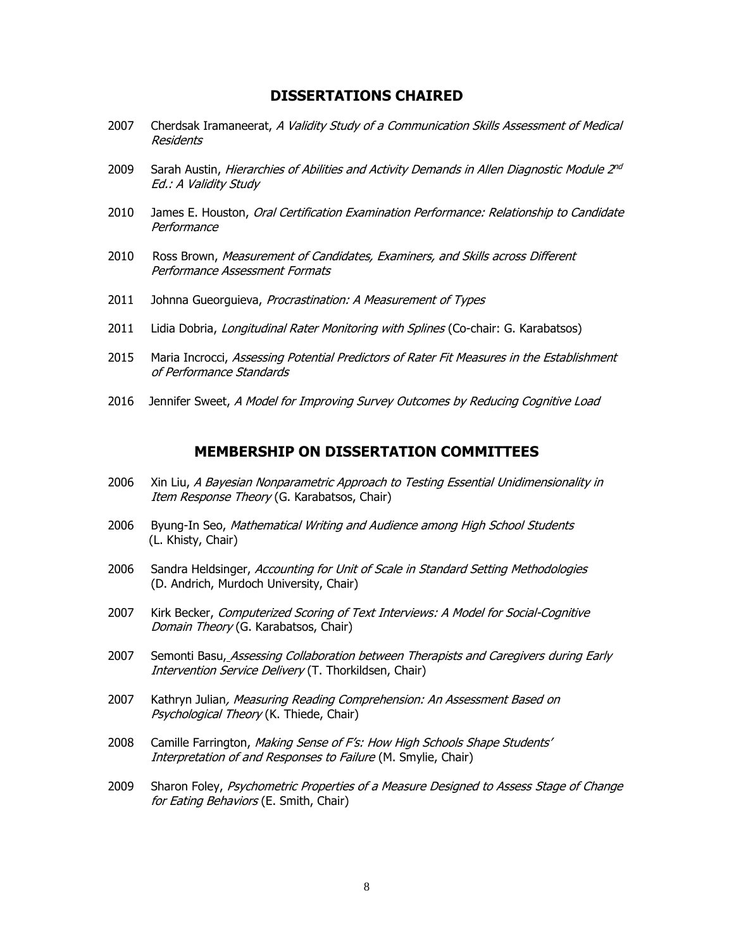### **DISSERTATIONS CHAIRED**

- 2007 Cherdsak Iramaneerat, A Validity Study of a Communication Skills Assessment of Medical Residents
- 2009 Sarah Austin, *Hierarchies of Abilities and Activity Demands in Allen Diagnostic Module 2<sup>nd</sup>* Ed.: A Validity Study
- 2010 James E. Houston, Oral Certification Examination Performance: Relationship to Candidate **Performance**
- 2010 Ross Brown, Measurement of Candidates, Examiners, and Skills across Different Performance Assessment Formats
- 2011 Johnna Gueorguieva, Procrastination: A Measurement of Types
- 2011 Lidia Dobria, Longitudinal Rater Monitoring with Splines (Co-chair: G. Karabatsos)
- 2015 Maria Incrocci, Assessing Potential Predictors of Rater Fit Measures in the Establishment of Performance Standards
- 2016 Jennifer Sweet, A Model for Improving Survey Outcomes by Reducing Cognitive Load

### **MEMBERSHIP ON DISSERTATION COMMITTEES**

- 2006 Xin Liu, A Bayesian Nonparametric Approach to Testing Essential Unidimensionality in Item Response Theory (G. Karabatsos, Chair)
- 2006 Byung-In Seo, Mathematical Writing and Audience among High School Students (L. Khisty, Chair)
- 2006 Sandra Heldsinger, Accounting for Unit of Scale in Standard Setting Methodologies (D. Andrich, Murdoch University, Chair)
- 2007 Kirk Becker, Computerized Scoring of Text Interviews: A Model for Social-Cognitive Domain Theory (G. Karabatsos, Chair)
- 2007 Semonti Basu, Assessing Collaboration between Therapists and Caregivers during Early Intervention Service Delivery (T. Thorkildsen, Chair)
- 2007 Kathryn Julian, Measuring Reading Comprehension: An Assessment Based on Psychological Theory (K. Thiede, Chair)
- 2008 Camille Farrington, Making Sense of F's: How High Schools Shape Students' Interpretation of and Responses to Failure (M. Smylie, Chair)
- 2009 Sharon Foley, Psychometric Properties of a Measure Designed to Assess Stage of Change for Eating Behaviors (E. Smith, Chair)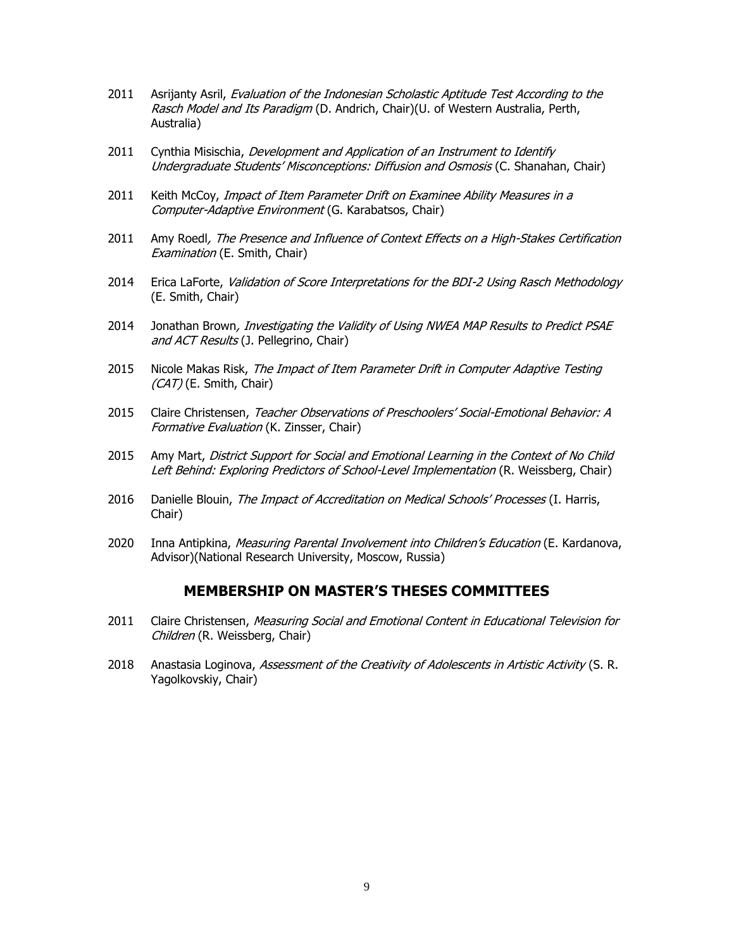- 2011 Asrijanty Asril, Evaluation of the Indonesian Scholastic Aptitude Test According to the Rasch Model and Its Paradigm (D. Andrich, Chair)(U. of Western Australia, Perth, Australia)
- 2011 Cynthia Misischia, Development and Application of an Instrument to Identify Undergraduate Students' Misconceptions: Diffusion and Osmosis (C. Shanahan, Chair)
- 2011 Keith McCoy, Impact of Item Parameter Drift on Examinee Ability Measures in a Computer-Adaptive Environment (G. Karabatsos, Chair)
- 2011 Amy Roedl, The Presence and Influence of Context Effects on a High-Stakes Certification Examination (E. Smith, Chair)
- 2014 Erica LaForte, Validation of Score Interpretations for the BDI-2 Using Rasch Methodology (E. Smith, Chair)
- 2014 Jonathan Brown, Investigating the Validity of Using NWEA MAP Results to Predict PSAE and ACT Results (J. Pellegrino, Chair)
- 2015 Nicole Makas Risk, The Impact of Item Parameter Drift in Computer Adaptive Testing (CAT) (E. Smith, Chair)
- 2015 Claire Christensen, Teacher Observations of Preschoolers' Social-Emotional Behavior: A Formative Evaluation (K. Zinsser, Chair)
- 2015 Amy Mart, District Support for Social and Emotional Learning in the Context of No Child Left Behind: Exploring Predictors of School-Level Implementation (R. Weissberg, Chair)
- 2016 Danielle Blouin, The Impact of Accreditation on Medical Schools' Processes (I. Harris, Chair)
- 2020 Inna Antipkina, Measuring Parental Involvement into Children's Education (E. Kardanova, Advisor)(National Research University, Moscow, Russia)

#### **MEMBERSHIP ON MASTER'S THESES COMMITTEES**

- 2011 Claire Christensen, Measuring Social and Emotional Content in Educational Television for Children (R. Weissberg, Chair)
- 2018 Anastasia Loginova, Assessment of the Creativity of Adolescents in Artistic Activity (S. R. Yagolkovskiy, Chair)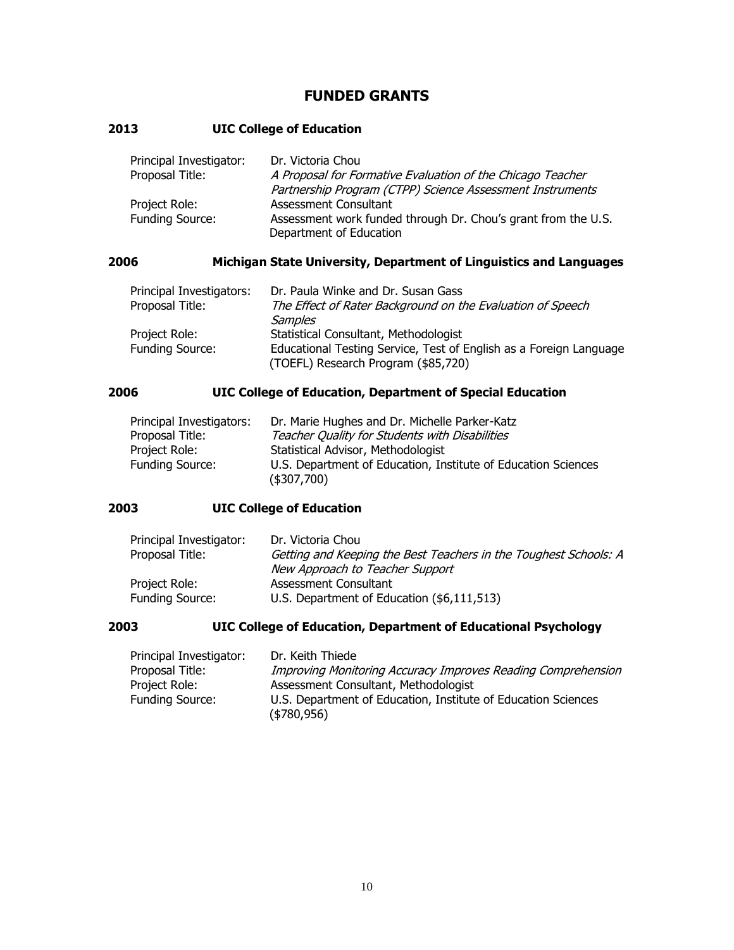## **FUNDED GRANTS**

### **2013 UIC College of Education**

| Principal Investigator: | Dr. Victoria Chou                                             |
|-------------------------|---------------------------------------------------------------|
| Proposal Title:         | A Proposal for Formative Evaluation of the Chicago Teacher    |
|                         | Partnership Program (CTPP) Science Assessment Instruments     |
| Project Role:           | Assessment Consultant                                         |
| Funding Source:         | Assessment work funded through Dr. Chou's grant from the U.S. |
|                         | Department of Education                                       |

## **2006 Michigan State University, Department of Linguistics and Languages**

| Principal Investigators: | Dr. Paula Winke and Dr. Susan Gass                                                                        |
|--------------------------|-----------------------------------------------------------------------------------------------------------|
| Proposal Title:          | The Effect of Rater Background on the Evaluation of Speech                                                |
|                          | Samples                                                                                                   |
| Project Role:            | Statistical Consultant, Methodologist                                                                     |
| <b>Funding Source:</b>   | Educational Testing Service, Test of English as a Foreign Language<br>(TOEFL) Research Program (\$85,720) |

## **2006 UIC College of Education, Department of Special Education**

| Principal Investigators: | Dr. Marie Hughes and Dr. Michelle Parker-Katz                 |
|--------------------------|---------------------------------------------------------------|
| Proposal Title:          | Teacher Quality for Students with Disabilities                |
| Project Role:            | Statistical Advisor, Methodologist                            |
| <b>Funding Source:</b>   | U.S. Department of Education, Institute of Education Sciences |
|                          | (\$307,700)                                                   |

## **2003 UIC College of Education**

| Principal Investigator: | Dr. Victoria Chou                                                |
|-------------------------|------------------------------------------------------------------|
| Proposal Title:         | Getting and Keeping the Best Teachers in the Toughest Schools: A |
|                         | New Approach to Teacher Support                                  |
| Project Role:           | Assessment Consultant                                            |
| <b>Funding Source:</b>  | U.S. Department of Education (\$6,111,513)                       |

### **2003 UIC College of Education, Department of Educational Psychology**

| Principal Investigator: | Dr. Keith Thiede                                                               |
|-------------------------|--------------------------------------------------------------------------------|
| Proposal Title:         | Improving Monitoring Accuracy Improves Reading Comprehension                   |
| Project Role:           | Assessment Consultant, Methodologist                                           |
| <b>Funding Source:</b>  | U.S. Department of Education, Institute of Education Sciences<br>( \$780, 956) |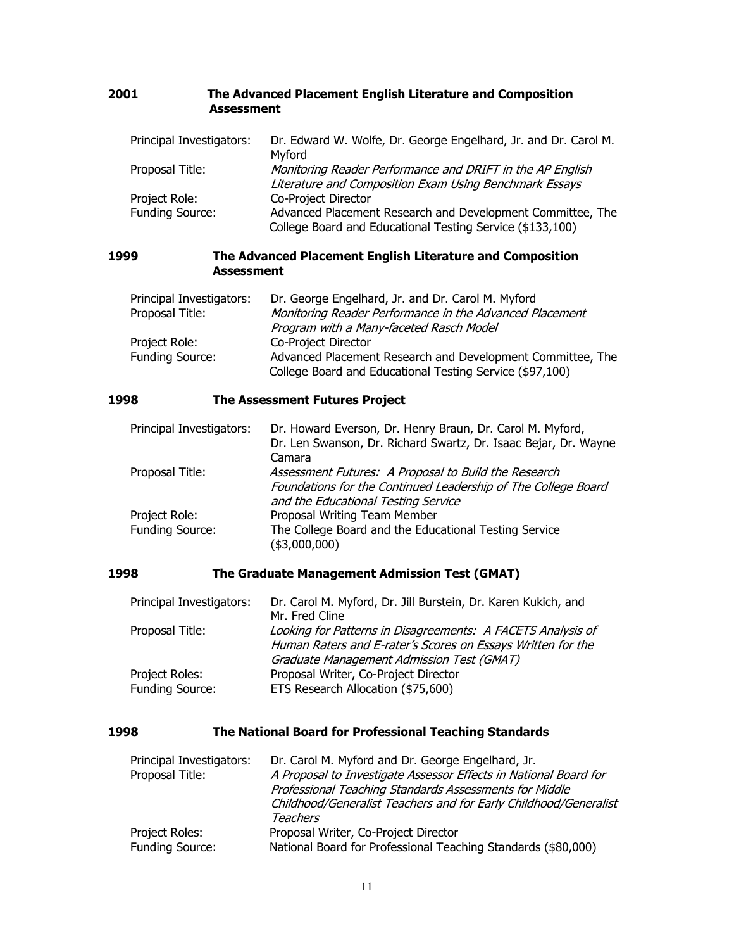#### **2001 The Advanced Placement English Literature and Composition Assessment**

| Principal Investigators: | Dr. Edward W. Wolfe, Dr. George Engelhard, Jr. and Dr. Carol M.<br>Myford                                               |
|--------------------------|-------------------------------------------------------------------------------------------------------------------------|
| Proposal Title:          | Monitoring Reader Performance and DRIFT in the AP English<br>Literature and Composition Exam Using Benchmark Essays     |
| Project Role:            | Co-Project Director                                                                                                     |
| Funding Source:          | Advanced Placement Research and Development Committee, The<br>College Board and Educational Testing Service (\$133,100) |

#### **1999 The Advanced Placement English Literature and Composition Assessment**

| Principal Investigators: | Dr. George Engelhard, Jr. and Dr. Carol M. Myford                                                                      |
|--------------------------|------------------------------------------------------------------------------------------------------------------------|
| Proposal Title:          | Monitoring Reader Performance in the Advanced Placement                                                                |
|                          | Program with a Many-faceted Rasch Model                                                                                |
| Project Role:            | Co-Project Director                                                                                                    |
| Funding Source:          | Advanced Placement Research and Development Committee, The<br>College Board and Educational Testing Service (\$97,100) |

#### **1998 The Assessment Futures Project**

| Principal Investigators: | Dr. Howard Everson, Dr. Henry Braun, Dr. Carol M. Myford,       |
|--------------------------|-----------------------------------------------------------------|
|                          | Dr. Len Swanson, Dr. Richard Swartz, Dr. Isaac Bejar, Dr. Wayne |
|                          | Camara                                                          |
| Proposal Title:          | Assessment Futures: A Proposal to Build the Research            |
|                          | Foundations for the Continued Leadership of The College Board   |
|                          | and the Educational Testing Service                             |
| Project Role:            | Proposal Writing Team Member                                    |
| Funding Source:          | The College Board and the Educational Testing Service           |
|                          | (\$3,000,000)                                                   |

#### **1998 The Graduate Management Admission Test (GMAT)**

| Principal Investigators: | Dr. Carol M. Myford, Dr. Jill Burstein, Dr. Karen Kukich, and |
|--------------------------|---------------------------------------------------------------|
|                          | Mr. Fred Cline                                                |
| Proposal Title:          | Looking for Patterns in Disagreements: A FACETS Analysis of   |
|                          | Human Raters and E-rater's Scores on Essays Written for the   |
|                          | Graduate Management Admission Test (GMAT)                     |
| Project Roles:           | Proposal Writer, Co-Project Director                          |
| <b>Funding Source:</b>   | ETS Research Allocation (\$75,600)                            |

### **1998 The National Board for Professional Teaching Standards**

| Principal Investigators: | Dr. Carol M. Myford and Dr. George Engelhard, Jr.                |
|--------------------------|------------------------------------------------------------------|
| Proposal Title:          | A Proposal to Investigate Assessor Effects in National Board for |
|                          | Professional Teaching Standards Assessments for Middle           |
|                          | Childhood/Generalist Teachers and for Early Childhood/Generalist |
|                          | Teachers                                                         |
| Project Roles:           | Proposal Writer, Co-Project Director                             |
| Funding Source:          | National Board for Professional Teaching Standards (\$80,000)    |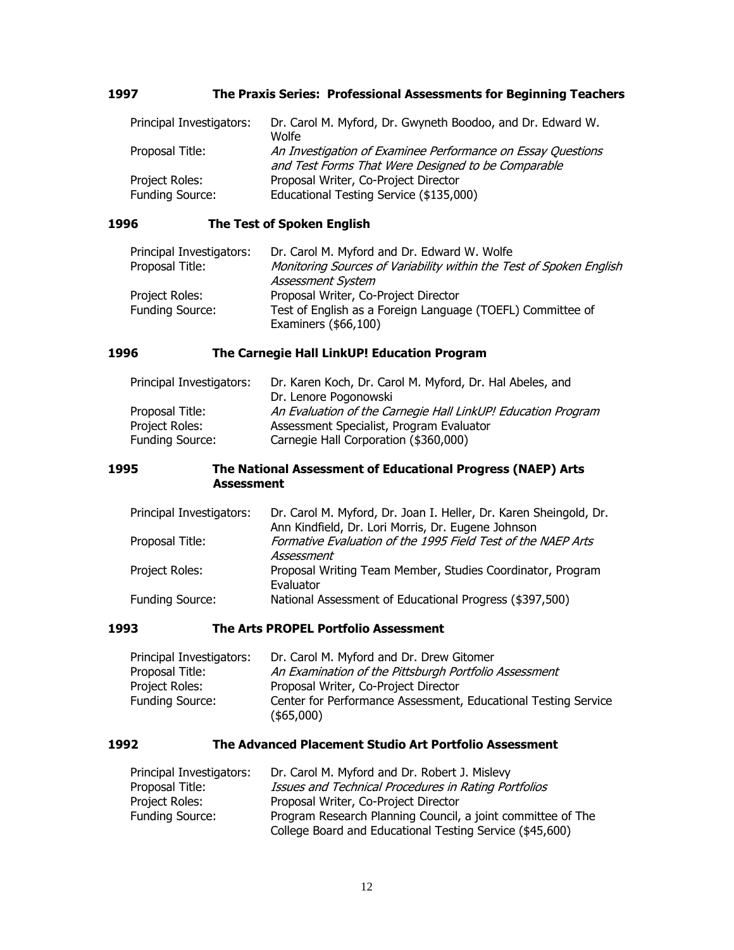#### **1997 The Praxis Series: Professional Assessments for Beginning Teachers**

| Principal Investigators: | Dr. Carol M. Myford, Dr. Gwyneth Boodoo, and Dr. Edward W.  |
|--------------------------|-------------------------------------------------------------|
|                          | Wolfe                                                       |
| Proposal Title:          | An Investigation of Examinee Performance on Essay Questions |
|                          | and Test Forms That Were Designed to be Comparable          |
| Project Roles:           | Proposal Writer, Co-Project Director                        |
| <b>Funding Source:</b>   | Educational Testing Service (\$135,000)                     |

#### **1996 The Test of Spoken English**

| Principal Investigators: | Dr. Carol M. Myford and Dr. Edward W. Wolfe                                              |
|--------------------------|------------------------------------------------------------------------------------------|
| Proposal Title:          | Monitoring Sources of Variability within the Test of Spoken English<br>Assessment System |
| Project Roles:           | Proposal Writer, Co-Project Director                                                     |
| <b>Funding Source:</b>   | Test of English as a Foreign Language (TOEFL) Committee of<br>Examiners $($66,100)$      |

## **1996 The Carnegie Hall LinkUP! Education Program**

| Principal Investigators: | Dr. Karen Koch, Dr. Carol M. Myford, Dr. Hal Abeles, and     |
|--------------------------|--------------------------------------------------------------|
|                          | Dr. Lenore Pogonowski                                        |
| Proposal Title:          | An Evaluation of the Carnegie Hall LinkUP! Education Program |
| Project Roles:           | Assessment Specialist, Program Evaluator                     |
| <b>Funding Source:</b>   | Carnegie Hall Corporation (\$360,000)                        |

#### **1995 The National Assessment of Educational Progress (NAEP) Arts Assessment**

| Principal Investigators: | Dr. Carol M. Myford, Dr. Joan I. Heller, Dr. Karen Sheingold, Dr.       |
|--------------------------|-------------------------------------------------------------------------|
|                          | Ann Kindfield, Dr. Lori Morris, Dr. Eugene Johnson                      |
| Proposal Title:          | Formative Evaluation of the 1995 Field Test of the NAEP Arts            |
|                          | Assessment                                                              |
| Project Roles:           | Proposal Writing Team Member, Studies Coordinator, Program<br>Evaluator |
| <b>Funding Source:</b>   | National Assessment of Educational Progress (\$397,500)                 |

#### **1993 The Arts PROPEL Portfolio Assessment**

| Principal Investigators: | Dr. Carol M. Myford and Dr. Drew Gitomer                       |
|--------------------------|----------------------------------------------------------------|
| Proposal Title:          | An Examination of the Pittsburgh Portfolio Assessment          |
| Project Roles:           | Proposal Writer, Co-Project Director                           |
| <b>Funding Source:</b>   | Center for Performance Assessment, Educational Testing Service |
|                          | (\$5,000)                                                      |

#### **1992 The Advanced Placement Studio Art Portfolio Assessment**

| Principal Investigators: | Dr. Carol M. Myford and Dr. Robert J. Mislevy               |
|--------------------------|-------------------------------------------------------------|
| Proposal Title:          | Issues and Technical Procedures in Rating Portfolios        |
| Project Roles:           | Proposal Writer, Co-Project Director                        |
| <b>Funding Source:</b>   | Program Research Planning Council, a joint committee of The |
|                          | College Board and Educational Testing Service (\$45,600)    |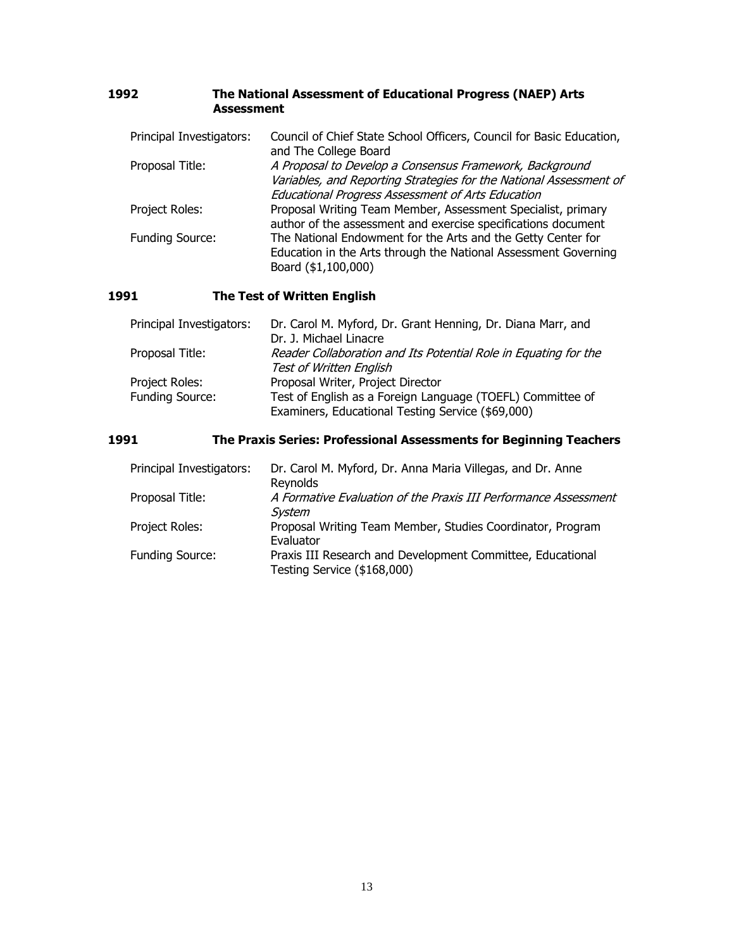| 1992 | The National Assessment of Educational Progress (NAEP) Arts |
|------|-------------------------------------------------------------|
|      | Assessment                                                  |

| Principal Investigators: | Council of Chief State School Officers, Council for Basic Education,<br>and The College Board                                                                                             |
|--------------------------|-------------------------------------------------------------------------------------------------------------------------------------------------------------------------------------------|
| Proposal Title:          | A Proposal to Develop a Consensus Framework, Background<br>Variables, and Reporting Strategies for the National Assessment of<br><b>Educational Progress Assessment of Arts Education</b> |
| Project Roles:           | Proposal Writing Team Member, Assessment Specialist, primary<br>author of the assessment and exercise specifications document                                                             |
| Funding Source:          | The National Endowment for the Arts and the Getty Center for<br>Education in the Arts through the National Assessment Governing<br>Board (\$1,100,000)                                    |

## **1991 The Test of Written English**

| Principal Investigators: | Dr. Carol M. Myford, Dr. Grant Henning, Dr. Diana Marr, and     |
|--------------------------|-----------------------------------------------------------------|
|                          | Dr. J. Michael Linacre                                          |
| Proposal Title:          | Reader Collaboration and Its Potential Role in Equating for the |
|                          | Test of Written English                                         |
| Project Roles:           | Proposal Writer, Project Director                               |
| <b>Funding Source:</b>   | Test of English as a Foreign Language (TOEFL) Committee of      |
|                          | Examiners, Educational Testing Service (\$69,000)               |

## **1991 The Praxis Series: Professional Assessments for Beginning Teachers**

| Principal Investigators: | Dr. Carol M. Myford, Dr. Anna Maria Villegas, and Dr. Anne<br>Reynolds                    |
|--------------------------|-------------------------------------------------------------------------------------------|
| Proposal Title:          | A Formative Evaluation of the Praxis III Performance Assessment<br>System                 |
| Project Roles:           | Proposal Writing Team Member, Studies Coordinator, Program<br>Evaluator                   |
| <b>Funding Source:</b>   | Praxis III Research and Development Committee, Educational<br>Testing Service (\$168,000) |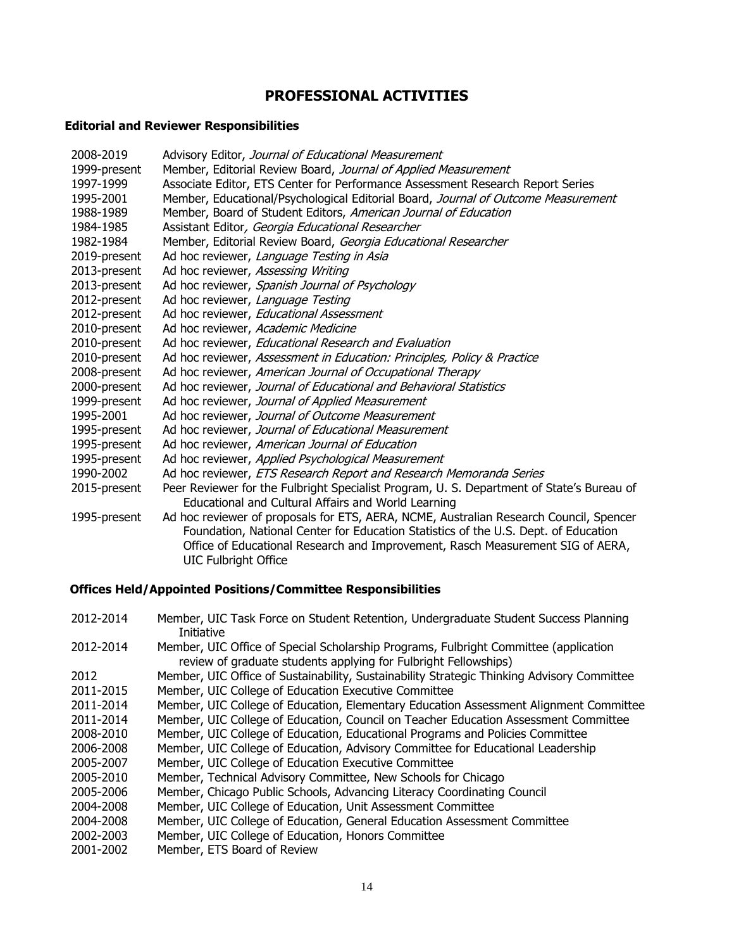## **PROFESSIONAL ACTIVITIES**

## **Editorial and Reviewer Responsibilities**

| 2008-2019    | Advisory Editor, Journal of Educational Measurement                                                                                                                                                                                                                                            |
|--------------|------------------------------------------------------------------------------------------------------------------------------------------------------------------------------------------------------------------------------------------------------------------------------------------------|
| 1999-present | Member, Editorial Review Board, Journal of Applied Measurement                                                                                                                                                                                                                                 |
| 1997-1999    | Associate Editor, ETS Center for Performance Assessment Research Report Series                                                                                                                                                                                                                 |
| 1995-2001    | Member, Educational/Psychological Editorial Board, Journal of Outcome Measurement                                                                                                                                                                                                              |
| 1988-1989    | Member, Board of Student Editors, American Journal of Education                                                                                                                                                                                                                                |
| 1984-1985    | Assistant Editor, Georgia Educational Researcher                                                                                                                                                                                                                                               |
| 1982-1984    | Member, Editorial Review Board, Georgia Educational Researcher                                                                                                                                                                                                                                 |
| 2019-present | Ad hoc reviewer, Language Testing in Asia                                                                                                                                                                                                                                                      |
| 2013-present | Ad hoc reviewer, Assessing Writing                                                                                                                                                                                                                                                             |
| 2013-present | Ad hoc reviewer, Spanish Journal of Psychology                                                                                                                                                                                                                                                 |
| 2012-present | Ad hoc reviewer, Language Testing                                                                                                                                                                                                                                                              |
| 2012-present | Ad hoc reviewer, Educational Assessment                                                                                                                                                                                                                                                        |
| 2010-present | Ad hoc reviewer, Academic Medicine                                                                                                                                                                                                                                                             |
| 2010-present | Ad hoc reviewer, Educational Research and Evaluation                                                                                                                                                                                                                                           |
| 2010-present | Ad hoc reviewer, Assessment in Education: Principles, Policy & Practice                                                                                                                                                                                                                        |
| 2008-present | Ad hoc reviewer, American Journal of Occupational Therapy                                                                                                                                                                                                                                      |
| 2000-present | Ad hoc reviewer, Journal of Educational and Behavioral Statistics                                                                                                                                                                                                                              |
| 1999-present | Ad hoc reviewer, Journal of Applied Measurement                                                                                                                                                                                                                                                |
| 1995-2001    | Ad hoc reviewer, Journal of Outcome Measurement                                                                                                                                                                                                                                                |
| 1995-present | Ad hoc reviewer, Journal of Educational Measurement                                                                                                                                                                                                                                            |
| 1995-present | Ad hoc reviewer, American Journal of Education                                                                                                                                                                                                                                                 |
| 1995-present | Ad hoc reviewer, Applied Psychological Measurement                                                                                                                                                                                                                                             |
| 1990-2002    | Ad hoc reviewer, ETS Research Report and Research Memoranda Series                                                                                                                                                                                                                             |
| 2015-present | Peer Reviewer for the Fulbright Specialist Program, U. S. Department of State's Bureau of<br>Educational and Cultural Affairs and World Learning                                                                                                                                               |
| 1995-present | Ad hoc reviewer of proposals for ETS, AERA, NCME, Australian Research Council, Spencer<br>Foundation, National Center for Education Statistics of the U.S. Dept. of Education<br>Office of Educational Research and Improvement, Rasch Measurement SIG of AERA,<br><b>UIC Fulbright Office</b> |

## **Offices Held/Appointed Positions/Committee Responsibilities**

| 2012-2014 | Member, UIC Task Force on Student Retention, Undergraduate Student Success Planning<br>Initiative                                                       |
|-----------|---------------------------------------------------------------------------------------------------------------------------------------------------------|
| 2012-2014 | Member, UIC Office of Special Scholarship Programs, Fulbright Committee (application<br>review of graduate students applying for Fulbright Fellowships) |
| 2012      | Member, UIC Office of Sustainability, Sustainability Strategic Thinking Advisory Committee                                                              |
| 2011-2015 | Member, UIC College of Education Executive Committee                                                                                                    |
| 2011-2014 | Member, UIC College of Education, Elementary Education Assessment Alignment Committee                                                                   |
| 2011-2014 | Member, UIC College of Education, Council on Teacher Education Assessment Committee                                                                     |
| 2008-2010 | Member, UIC College of Education, Educational Programs and Policies Committee                                                                           |
| 2006-2008 | Member, UIC College of Education, Advisory Committee for Educational Leadership                                                                         |
| 2005-2007 | Member, UIC College of Education Executive Committee                                                                                                    |
| 2005-2010 | Member, Technical Advisory Committee, New Schools for Chicago                                                                                           |
| 2005-2006 | Member, Chicago Public Schools, Advancing Literacy Coordinating Council                                                                                 |
| 2004-2008 | Member, UIC College of Education, Unit Assessment Committee                                                                                             |
| 2004-2008 | Member, UIC College of Education, General Education Assessment Committee                                                                                |
| 2002-2003 | Member, UIC College of Education, Honors Committee                                                                                                      |
| 2001-2002 | Member, ETS Board of Review                                                                                                                             |
|           |                                                                                                                                                         |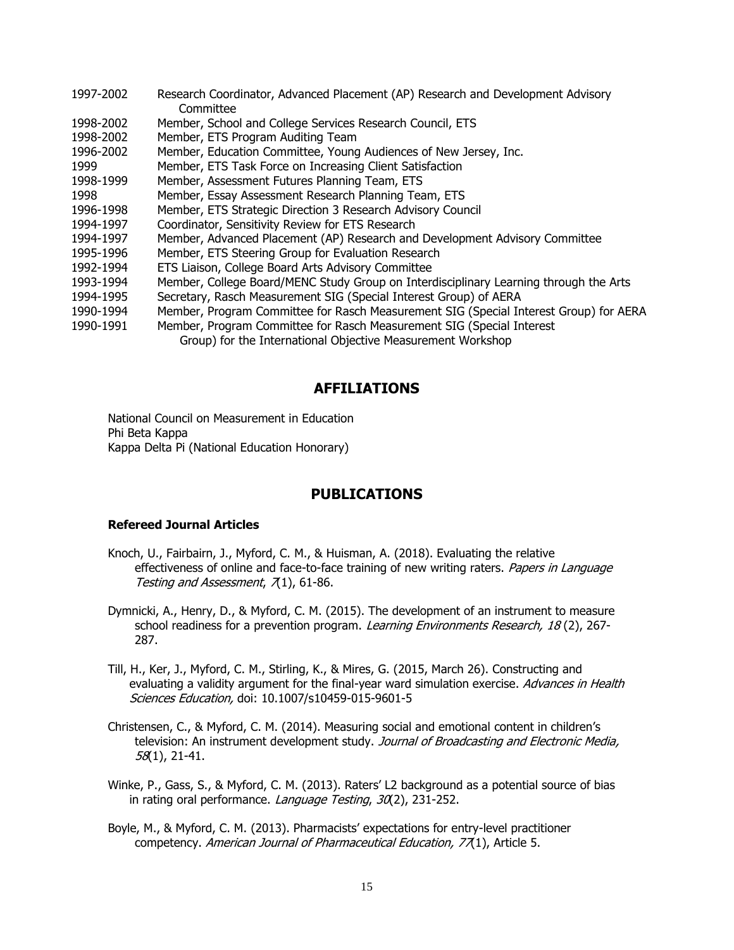| 1997-2002 | Research Coordinator, Advanced Placement (AP) Research and Development Advisory       |
|-----------|---------------------------------------------------------------------------------------|
|           | Committee                                                                             |
| 1998-2002 | Member, School and College Services Research Council, ETS                             |
| 1998-2002 | Member, ETS Program Auditing Team                                                     |
| 1996-2002 | Member, Education Committee, Young Audiences of New Jersey, Inc.                      |
| 1999      | Member, ETS Task Force on Increasing Client Satisfaction                              |
| 1998-1999 | Member, Assessment Futures Planning Team, ETS                                         |
| 1998      | Member, Essay Assessment Research Planning Team, ETS                                  |
| 1996-1998 | Member, ETS Strategic Direction 3 Research Advisory Council                           |
| 1994-1997 | Coordinator, Sensitivity Review for ETS Research                                      |
| 1994-1997 | Member, Advanced Placement (AP) Research and Development Advisory Committee           |
| 1995-1996 | Member, ETS Steering Group for Evaluation Research                                    |
| 1992-1994 | ETS Liaison, College Board Arts Advisory Committee                                    |
| 1993-1994 | Member, College Board/MENC Study Group on Interdisciplinary Learning through the Arts |
| 1994-1995 | Secretary, Rasch Measurement SIG (Special Interest Group) of AERA                     |
| 1990-1994 | Member, Program Committee for Rasch Measurement SIG (Special Interest Group) for AERA |
| 1990-1991 | Member, Program Committee for Rasch Measurement SIG (Special Interest                 |
|           | Group) for the International Objective Measurement Workshop                           |

### **AFFILIATIONS**

National Council on Measurement in Education Phi Beta Kappa Kappa Delta Pi (National Education Honorary)

### **PUBLICATIONS**

#### **Refereed Journal Articles**

- Knoch, U., Fairbairn, J., Myford, C. M., & Huisman, A. (2018). Evaluating the relative effectiveness of online and face-to-face training of new writing raters. Papers in Language Testing and Assessment,  $\overline{\Lambda}$ 1), 61-86.
- Dymnicki, A., Henry, D., & Myford, C. M. (2015). The development of an instrument to measure school readiness for a prevention program. Learning Environments Research, 18(2), 267-287.
- Till, H., Ker, J., Myford, C. M., Stirling, K., & Mires, G. (2015, March 26). Constructing and evaluating a validity argument for the final-year ward simulation exercise. Advances in Health Sciences Education, doi: 10.1007/s10459-015-9601-5
- Christensen, C., & Myford, C. M. (2014). Measuring social and emotional content in children's television: An instrument development study. Journal of Broadcasting and Electronic Media, 58(1), 21-41.
- Winke, P., Gass, S., & Myford, C. M. (2013). Raters' L2 background as a potential source of bias in rating oral performance. Language Testing, 30(2), 231-252.
- Boyle, M., & Myford, C. M. (2013). Pharmacists' expectations for entry-level practitioner competency. American Journal of Pharmaceutical Education, 77(1), Article 5.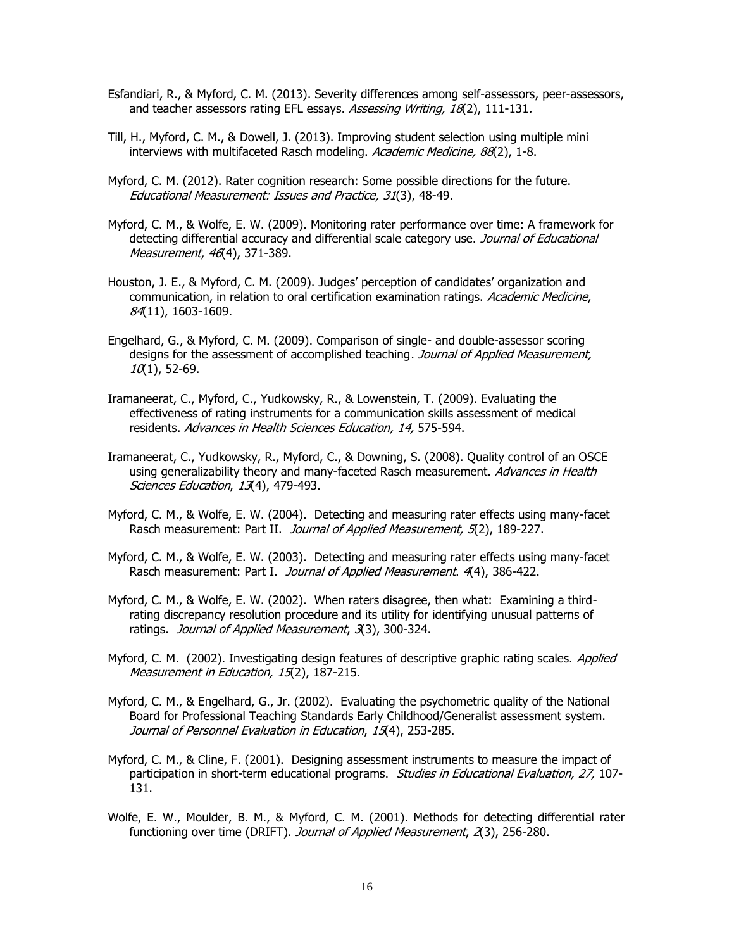- Esfandiari, R., & Myford, C. M. (2013). Severity differences among self-assessors, peer-assessors, and teacher assessors rating EFL essays. Assessing Writing, 18(2), 111-131.
- Till, H., Myford, C. M., & Dowell, J. (2013). Improving student selection using multiple mini interviews with multifaceted Rasch modeling. Academic Medicine, 88(2), 1-8.
- Myford, C. M. (2012). Rater cognition research: Some possible directions for the future. Educational Measurement: Issues and Practice, 31(3), 48-49.
- Myford, C. M., & Wolfe, E. W. (2009). Monitoring rater performance over time: A framework for detecting differential accuracy and differential scale category use. Journal of Educational Measurement, 46(4), 371-389.
- Houston, J. E., & Myford, C. M. (2009). Judges' perception of candidates' organization and communication, in relation to oral certification examination ratings. Academic Medicine, 84(11), 1603-1609.
- Engelhard, G., & Myford, C. M. (2009). Comparison of single- and double-assessor scoring designs for the assessment of accomplished teaching. Journal of Applied Measurement,  $10(1)$ , 52-69.
- Iramaneerat, C., Myford, C., Yudkowsky, R., & Lowenstein, T. (2009). Evaluating the effectiveness of rating instruments for a communication skills assessment of medical residents. Advances in Health Sciences Education, 14, 575-594.
- Iramaneerat, C., Yudkowsky, R., Myford, C., & Downing, S. (2008). Quality control of an OSCE using generalizability theory and many-faceted Rasch measurement. Advances in Health Sciences Education, 13(4), 479-493.
- Myford, C. M., & Wolfe, E. W. (2004). Detecting and measuring rater effects using many-facet Rasch measurement: Part II. Journal of Applied Measurement, 5(2), 189-227.
- Myford, C. M., & Wolfe, E. W. (2003). Detecting and measuring rater effects using many-facet Rasch measurement: Part I. Journal of Applied Measurement. 4(4), 386-422.
- Myford, C. M., & Wolfe, E. W. (2002). When raters disagree, then what: Examining a thirdrating discrepancy resolution procedure and its utility for identifying unusual patterns of ratings. Journal of Applied Measurement, 3(3), 300-324.
- Myford, C. M. (2002). Investigating design features of descriptive graphic rating scales. Applied Measurement in Education, 15(2), 187-215.
- Myford, C. M., & Engelhard, G., Jr. (2002). Evaluating the psychometric quality of the National Board for Professional Teaching Standards Early Childhood/Generalist assessment system. Journal of Personnel Evaluation in Education, 15(4), 253-285.
- Myford, C. M., & Cline, F. (2001). Designing assessment instruments to measure the impact of participation in short-term educational programs. Studies in Educational Evaluation, 27, 107-131.
- Wolfe, E. W., Moulder, B. M., & Myford, C. M. (2001). Methods for detecting differential rater functioning over time (DRIFT). Journal of Applied Measurement, 2(3), 256-280.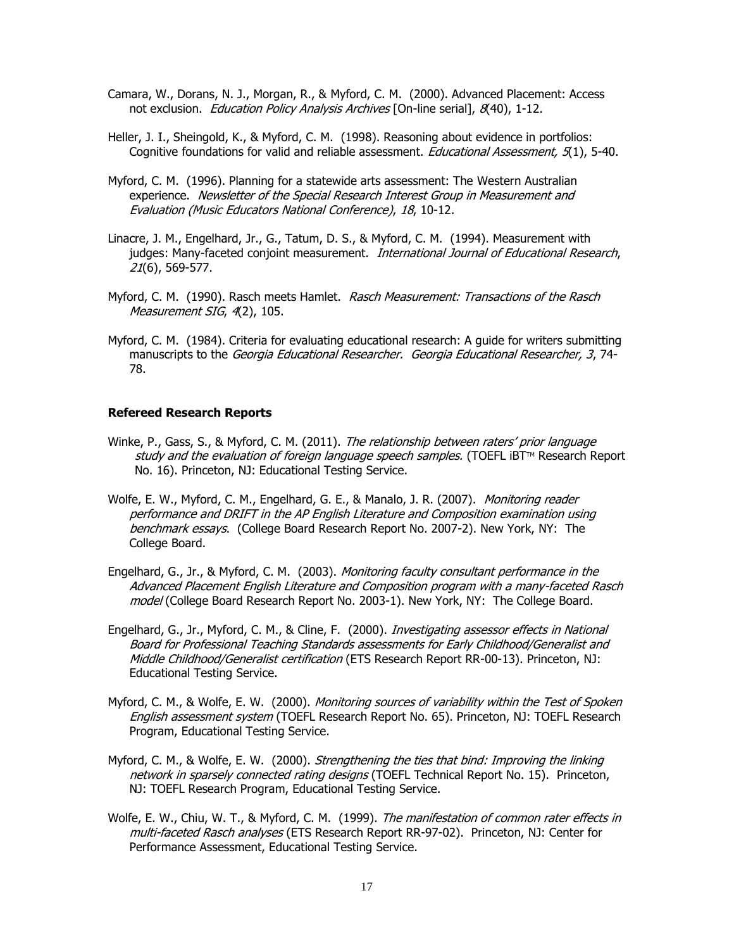- Camara, W., Dorans, N. J., Morgan, R., & Myford, C. M. (2000). Advanced Placement: Access not exclusion. *Education Policy Analysis Archives* [On-line serial], 8(40), 1-12.
- Heller, J. I., Sheingold, K., & Myford, C. M. (1998). Reasoning about evidence in portfolios: Cognitive foundations for valid and reliable assessment. Educational Assessment, 5(1), 5-40.
- Myford, C. M. (1996). Planning for a statewide arts assessment: The Western Australian experience. Newsletter of the Special Research Interest Group in Measurement and Evaluation (Music Educators National Conference), 18, 10-12.
- Linacre, J. M., Engelhard, Jr., G., Tatum, D. S., & Myford, C. M. (1994). Measurement with judges: Many-faceted conjoint measurement. *International Journal of Educational Research*, 21(6), 569-577.
- Myford, C. M. (1990). Rasch meets Hamlet. Rasch Measurement: Transactions of the Rasch Measurement SIG, 4(2), 105.
- Myford, C. M. (1984). Criteria for evaluating educational research: A guide for writers submitting manuscripts to the Georgia Educational Researcher. Georgia Educational Researcher, 3, 74-78.

#### **Refereed Research Reports**

- Winke, P., Gass, S., & Myford, C. M. (2011). The relationship between raters' prior language study and the evaluation of foreign language speech samples. (TOEFL  $BTTM$  Research Report No. 16). Princeton, NJ: Educational Testing Service.
- Wolfe, E. W., Myford, C. M., Engelhard, G. E., & Manalo, J. R. (2007). *Monitoring reader* performance and DRIFT in the AP English Literature and Composition examination using benchmark essays. (College Board Research Report No. 2007-2). New York, NY: The College Board.
- Engelhard, G., Jr., & Myford, C. M. (2003). Monitoring faculty consultant performance in the Advanced Placement English Literature and Composition program with a many-faceted Rasch model (College Board Research Report No. 2003-1). New York, NY: The College Board.
- Engelhard, G., Jr., Myford, C. M., & Cline, F. (2000). *Investigating assessor effects in National* Board for Professional Teaching Standards assessments for Early Childhood/Generalist and Middle Childhood/Generalist certification (ETS Research Report RR-00-13). Princeton, NJ: Educational Testing Service.
- Myford, C. M., & Wolfe, E. W. (2000). *Monitoring sources of variability within the Test of Spoken* English assessment system (TOEFL Research Report No. 65). Princeton, NJ: TOEFL Research Program, Educational Testing Service.
- Myford, C. M., & Wolfe, E. W. (2000). Strengthening the ties that bind: Improving the linking network in sparsely connected rating designs (TOEFL Technical Report No. 15). Princeton, NJ: TOEFL Research Program, Educational Testing Service.
- Wolfe, E. W., Chiu, W. T., & Myford, C. M. (1999). The manifestation of common rater effects in multi-faceted Rasch analyses (ETS Research Report RR-97-02). Princeton, NJ: Center for Performance Assessment, Educational Testing Service.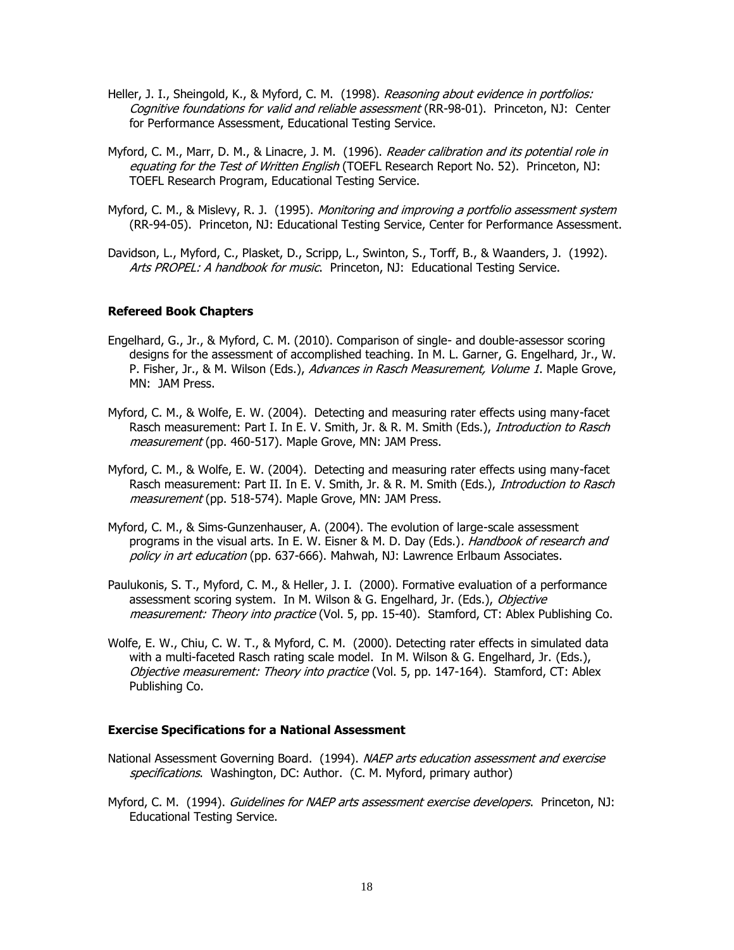- Heller, J. I., Sheingold, K., & Myford, C. M. (1998). Reasoning about evidence in portfolios: Cognitive foundations for valid and reliable assessment (RR-98-01). Princeton, NJ: Center for Performance Assessment, Educational Testing Service.
- Myford, C. M., Marr, D. M., & Linacre, J. M. (1996). Reader calibration and its potential role in equating for the Test of Written English (TOEFL Research Report No. 52). Princeton, NJ: TOEFL Research Program, Educational Testing Service.
- Myford, C. M., & Mislevy, R. J. (1995). Monitoring and improving a portfolio assessment system (RR-94-05). Princeton, NJ: Educational Testing Service, Center for Performance Assessment.
- Davidson, L., Myford, C., Plasket, D., Scripp, L., Swinton, S., Torff, B., & Waanders, J. (1992). Arts PROPEL: A handbook for music. Princeton, NJ: Educational Testing Service.

#### **Refereed Book Chapters**

- Engelhard, G., Jr., & Myford, C. M. (2010). Comparison of single- and double-assessor scoring designs for the assessment of accomplished teaching. In M. L. Garner, G. Engelhard, Jr., W. P. Fisher, Jr., & M. Wilson (Eds.), Advances in Rasch Measurement, Volume 1. Maple Grove, MN: JAM Press.
- Myford, C. M., & Wolfe, E. W. (2004). Detecting and measuring rater effects using many-facet Rasch measurement: Part I. In E. V. Smith, Jr. & R. M. Smith (Eds.), Introduction to Rasch measurement (pp. 460-517). Maple Grove, MN: JAM Press.
- Myford, C. M., & Wolfe, E. W. (2004). Detecting and measuring rater effects using many-facet Rasch measurement: Part II. In E. V. Smith, Jr. & R. M. Smith (Eds.), Introduction to Rasch measurement (pp. 518-574). Maple Grove, MN: JAM Press.
- Myford, C. M., & Sims-Gunzenhauser, A. (2004). The evolution of large-scale assessment programs in the visual arts. In E. W. Eisner & M. D. Day (Eds.). Handbook of research and policy in art education (pp. 637-666). Mahwah, NJ: Lawrence Erlbaum Associates.
- Paulukonis, S. T., Myford, C. M., & Heller, J. I. (2000). Formative evaluation of a performance assessment scoring system. In M. Wilson & G. Engelhard, Jr. (Eds.), Objective measurement: Theory into practice (Vol. 5, pp. 15-40). Stamford, CT: Ablex Publishing Co.
- Wolfe, E. W., Chiu, C. W. T., & Myford, C. M. (2000). Detecting rater effects in simulated data with a multi-faceted Rasch rating scale model. In M. Wilson & G. Engelhard, Jr. (Eds.), Objective measurement: Theory into practice (Vol. 5, pp. 147-164). Stamford, CT: Ablex Publishing Co.

#### **Exercise Specifications for a National Assessment**

- National Assessment Governing Board. (1994). NAEP arts education assessment and exercise specifications. Washington, DC: Author. (C. M. Myford, primary author)
- Myford, C. M. (1994). *Guidelines for NAEP arts assessment exercise developers*. Princeton, NJ: Educational Testing Service.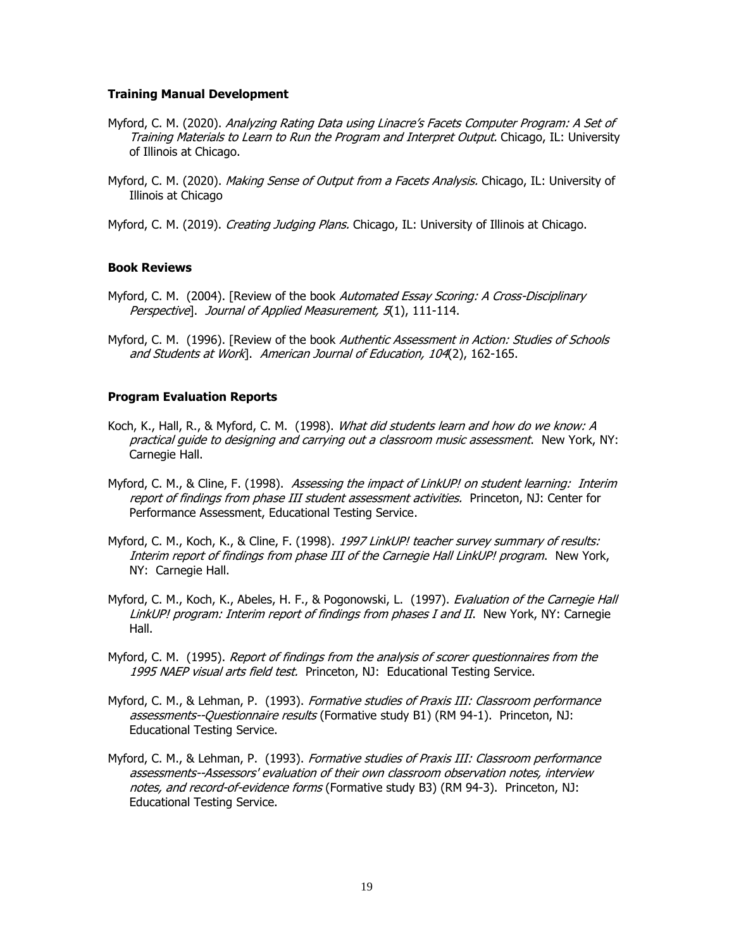#### **Training Manual Development**

- Myford, C. M. (2020). Analyzing Rating Data using Linacre's Facets Computer Program: A Set of Training Materials to Learn to Run the Program and Interpret Output. Chicago, IL: University of Illinois at Chicago.
- Myford, C. M. (2020). *Making Sense of Output from a Facets Analysis*. Chicago, IL: University of Illinois at Chicago
- Myford, C. M. (2019). *Creating Judging Plans.* Chicago, IL: University of Illinois at Chicago.

#### **Book Reviews**

- Myford, C. M. (2004). [Review of the book Automated Essay Scoring: A Cross-Disciplinary Perspective]. Journal of Applied Measurement, 5(1), 111-114.
- Myford, C. M. (1996). [Review of the book Authentic Assessment in Action: Studies of Schools and Students at Work]. American Journal of Education, 104(2), 162-165.

#### **Program Evaluation Reports**

- Koch, K., Hall, R., & Myford, C. M. (1998). What did students learn and how do we know: A practical quide to designing and carrying out a classroom music assessment. New York, NY: Carnegie Hall.
- Myford, C. M., & Cline, F. (1998). Assessing the impact of LinkUP! on student learning: Interim report of findings from phase III student assessment activities. Princeton, NJ: Center for Performance Assessment, Educational Testing Service.
- Myford, C. M., Koch, K., & Cline, F. (1998). 1997 LinkUP! teacher survey summary of results: Interim report of findings from phase III of the Carnegie Hall LinkUP! program. New York, NY: Carnegie Hall.
- Myford, C. M., Koch, K., Abeles, H. F., & Pogonowski, L. (1997). Evaluation of the Carnegie Hall LinkUP! program: Interim report of findings from phases I and II. New York, NY: Carnegie Hall.
- Myford, C. M. (1995). *Report of findings from the analysis of scorer questionnaires from the* 1995 NAEP visual arts field test. Princeton, NJ: Educational Testing Service.
- Myford, C. M., & Lehman, P. (1993). Formative studies of Praxis III: Classroom performance assessments--Questionnaire results (Formative study B1) (RM 94-1). Princeton, NJ: Educational Testing Service.
- Myford, C. M., & Lehman, P. (1993). Formative studies of Praxis III: Classroom performance assessments--Assessors' evaluation of their own classroom observation notes, interview notes, and record-of-evidence forms (Formative study B3) (RM 94-3). Princeton, NJ: Educational Testing Service.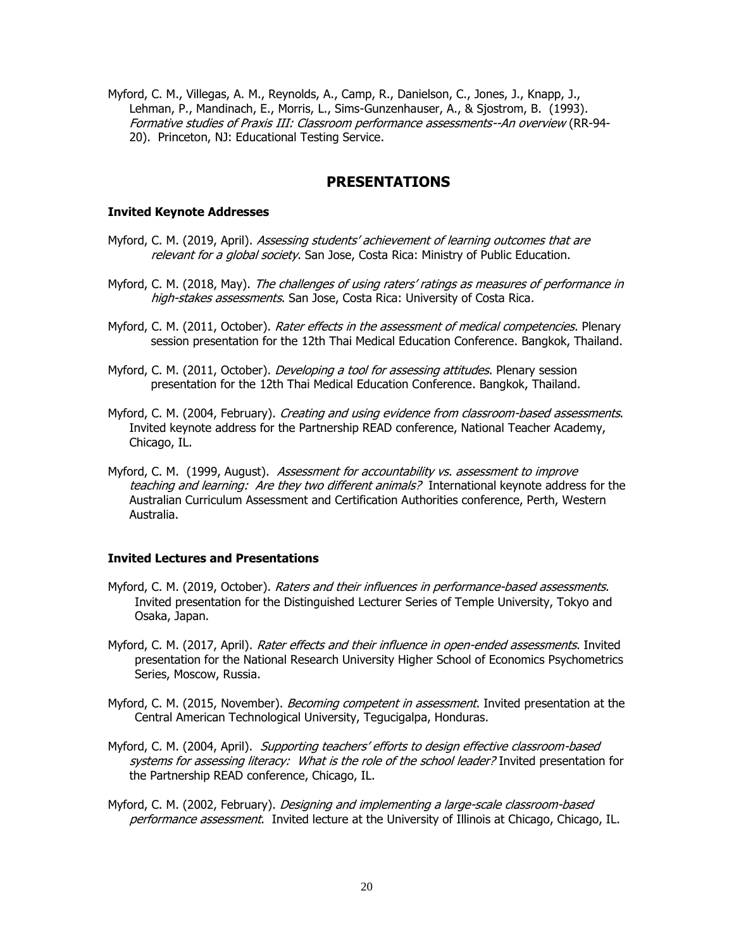Myford, C. M., Villegas, A. M., Reynolds, A., Camp, R., Danielson, C., Jones, J., Knapp, J., Lehman, P., Mandinach, E., Morris, L., Sims-Gunzenhauser, A., & Sjostrom, B. (1993). Formative studies of Praxis III: Classroom performance assessments--An overview (RR-94- 20). Princeton, NJ: Educational Testing Service.

### **PRESENTATIONS**

#### **Invited Keynote Addresses**

- Myford, C. M. (2019, April). *Assessing students' achievement of learning outcomes that are* relevant for a global society. San Jose, Costa Rica: Ministry of Public Education.
- Myford, C. M. (2018, May). The challenges of using raters' ratings as measures of performance in high-stakes assessments. San Jose, Costa Rica: University of Costa Rica.
- Myford, C. M. (2011, October). Rater effects in the assessment of medical competencies. Plenary session presentation for the 12th Thai Medical Education Conference. Bangkok, Thailand.
- Myford, C. M. (2011, October). *Developing a tool for assessing attitudes*. Plenary session presentation for the 12th Thai Medical Education Conference. Bangkok, Thailand.
- Myford, C. M. (2004, February). Creating and using evidence from classroom-based assessments. Invited keynote address for the Partnership READ conference, National Teacher Academy, Chicago, IL.
- Myford, C. M. (1999, August). Assessment for accountability vs. assessment to improve teaching and learning: Are they two different animals? International keynote address for the Australian Curriculum Assessment and Certification Authorities conference, Perth, Western Australia.

#### **Invited Lectures and Presentations**

- Myford, C. M. (2019, October). Raters and their influences in performance-based assessments. Invited presentation for the Distinguished Lecturer Series of Temple University, Tokyo and Osaka, Japan.
- Myford, C. M. (2017, April). Rater effects and their influence in open-ended assessments. Invited presentation for the National Research University Higher School of Economics Psychometrics Series, Moscow, Russia.
- Myford, C. M. (2015, November). *Becoming competent in assessment*. Invited presentation at the Central American Technological University, Tegucigalpa, Honduras.
- Myford, C. M. (2004, April). Supporting teachers' efforts to design effective classroom-based systems for assessing literacy: What is the role of the school leader? Invited presentation for the Partnership READ conference, Chicago, IL.
- Myford, C. M. (2002, February). Designing and implementing a large-scale classroom-based performance assessment. Invited lecture at the University of Illinois at Chicago, Chicago, IL.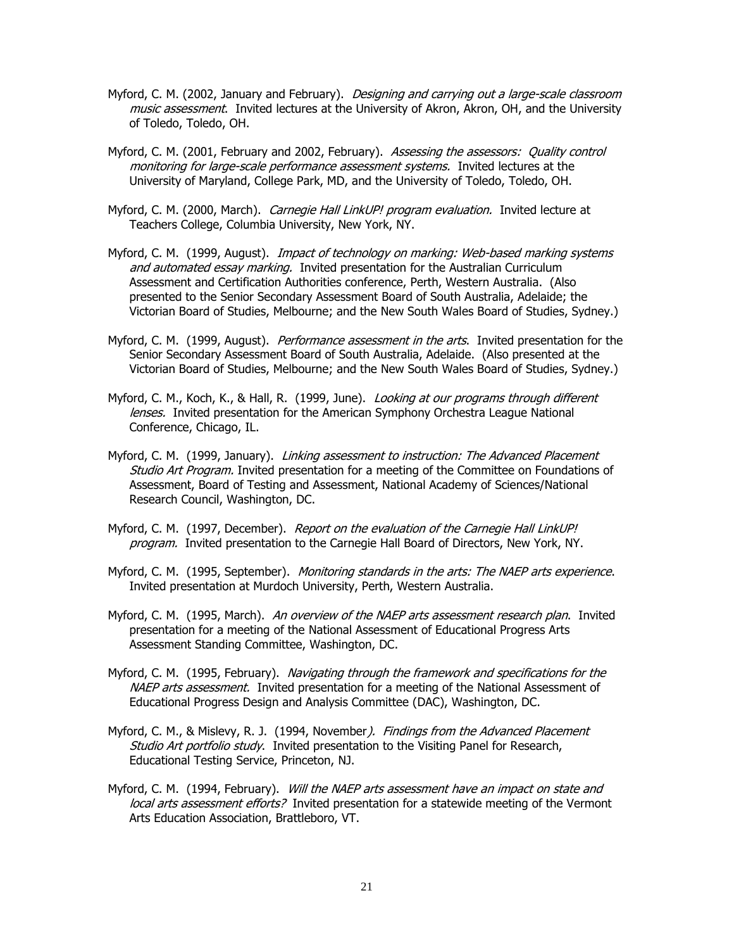- Myford, C. M. (2002, January and February). *Designing and carrying out a large-scale classroom* music assessment. Invited lectures at the University of Akron, Akron, OH, and the University of Toledo, Toledo, OH.
- Myford, C. M. (2001, February and 2002, February). Assessing the assessors: Quality control monitoring for large-scale performance assessment systems. Invited lectures at the University of Maryland, College Park, MD, and the University of Toledo, Toledo, OH.
- Myford, C. M. (2000, March). *Carnegie Hall LinkUP! program evaluation.* Invited lecture at Teachers College, Columbia University, New York, NY.
- Myford, C. M. (1999, August). *Impact of technology on marking: Web-based marking systems* and automated essay marking. Invited presentation for the Australian Curriculum Assessment and Certification Authorities conference, Perth, Western Australia. (Also presented to the Senior Secondary Assessment Board of South Australia, Adelaide; the Victorian Board of Studies, Melbourne; and the New South Wales Board of Studies, Sydney.)
- Myford, C. M. (1999, August). *Performance assessment in the arts*. Invited presentation for the Senior Secondary Assessment Board of South Australia, Adelaide. (Also presented at the Victorian Board of Studies, Melbourne; and the New South Wales Board of Studies, Sydney.)
- Myford, C. M., Koch, K., & Hall, R. (1999, June). *Looking at our programs through different* lenses. Invited presentation for the American Symphony Orchestra League National Conference, Chicago, IL.
- Myford, C. M. (1999, January). *Linking assessment to instruction: The Advanced Placement* Studio Art Program. Invited presentation for a meeting of the Committee on Foundations of Assessment, Board of Testing and Assessment, National Academy of Sciences/National Research Council, Washington, DC.
- Myford, C. M. (1997, December). Report on the evaluation of the Carnegie Hall LinkUP! program. Invited presentation to the Carnegie Hall Board of Directors, New York, NY.
- Myford, C. M. (1995, September). *Monitoring standards in the arts: The NAEP arts experience*. Invited presentation at Murdoch University, Perth, Western Australia.
- Myford, C. M. (1995, March). An overview of the NAEP arts assessment research plan. Invited presentation for a meeting of the National Assessment of Educational Progress Arts Assessment Standing Committee, Washington, DC.
- Myford, C. M. (1995, February). Navigating through the framework and specifications for the NAEP arts assessment. Invited presentation for a meeting of the National Assessment of Educational Progress Design and Analysis Committee (DAC), Washington, DC.
- Myford, C. M., & Mislevy, R. J. (1994, November). Findings from the Advanced Placement Studio Art portfolio study. Invited presentation to the Visiting Panel for Research, Educational Testing Service, Princeton, NJ.
- Myford, C. M. (1994, February). Will the NAEP arts assessment have an impact on state and local arts assessment efforts? Invited presentation for a statewide meeting of the Vermont Arts Education Association, Brattleboro, VT.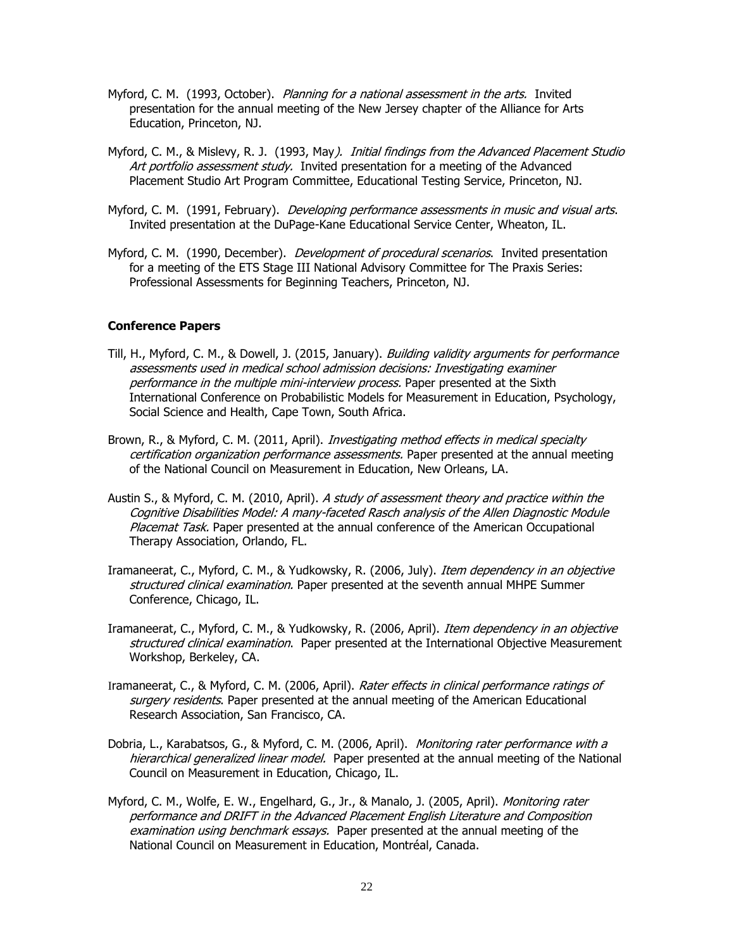- Myford, C. M. (1993, October). *Planning for a national assessment in the arts.* Invited presentation for the annual meeting of the New Jersey chapter of the Alliance for Arts Education, Princeton, NJ.
- Myford, C. M., & Mislevy, R. J. (1993, May). Initial findings from the Advanced Placement Studio Art portfolio assessment study. Invited presentation for a meeting of the Advanced Placement Studio Art Program Committee, Educational Testing Service, Princeton, NJ.
- Myford, C. M. (1991, February). Developing performance assessments in music and visual arts. Invited presentation at the DuPage-Kane Educational Service Center, Wheaton, IL.
- Myford, C. M. (1990, December). *Development of procedural scenarios*. Invited presentation for a meeting of the ETS Stage III National Advisory Committee for The Praxis Series: Professional Assessments for Beginning Teachers, Princeton, NJ.

#### **Conference Papers**

- Till, H., Myford, C. M., & Dowell, J. (2015, January). *Building validity arguments for performance* assessments used in medical school admission decisions: Investigating examiner performance in the multiple mini-interview process. Paper presented at the Sixth International Conference on Probabilistic Models for Measurement in Education, Psychology, Social Science and Health, Cape Town, South Africa.
- Brown, R., & Myford, C. M. (2011, April). *Investigating method effects in medical specialty* certification organization performance assessments. Paper presented at the annual meeting of the National Council on Measurement in Education, New Orleans, LA.
- Austin S., & Myford, C. M. (2010, April). A study of assessment theory and practice within the Cognitive Disabilities Model: A many-faceted Rasch analysis of the Allen Diagnostic Module Placemat Task. Paper presented at the annual conference of the American Occupational Therapy Association, Orlando, FL.
- Iramaneerat, C., Myford, C. M., & Yudkowsky, R. (2006, July). *Item dependency in an objective* structured clinical examination. Paper presented at the seventh annual MHPE Summer Conference, Chicago, IL.
- Iramaneerat, C., Myford, C. M., & Yudkowsky, R. (2006, April). *Item dependency in an objective* structured clinical examination. Paper presented at the International Objective Measurement Workshop, Berkeley, CA.
- Iramaneerat, C., & Myford, C. M. (2006, April). Rater effects in clinical performance ratings of surgery residents. Paper presented at the annual meeting of the American Educational Research Association, San Francisco, CA.
- Dobria, L., Karabatsos, G., & Myford, C. M. (2006, April). *Monitoring rater performance with a* hierarchical generalized linear model. Paper presented at the annual meeting of the National Council on Measurement in Education, Chicago, IL.
- Myford, C. M., Wolfe, E. W., Engelhard, G., Jr., & Manalo, J. (2005, April). *Monitoring rater* performance and DRIFT in the Advanced Placement English Literature and Composition examination using benchmark essays. Paper presented at the annual meeting of the National Council on Measurement in Education, Montréal, Canada.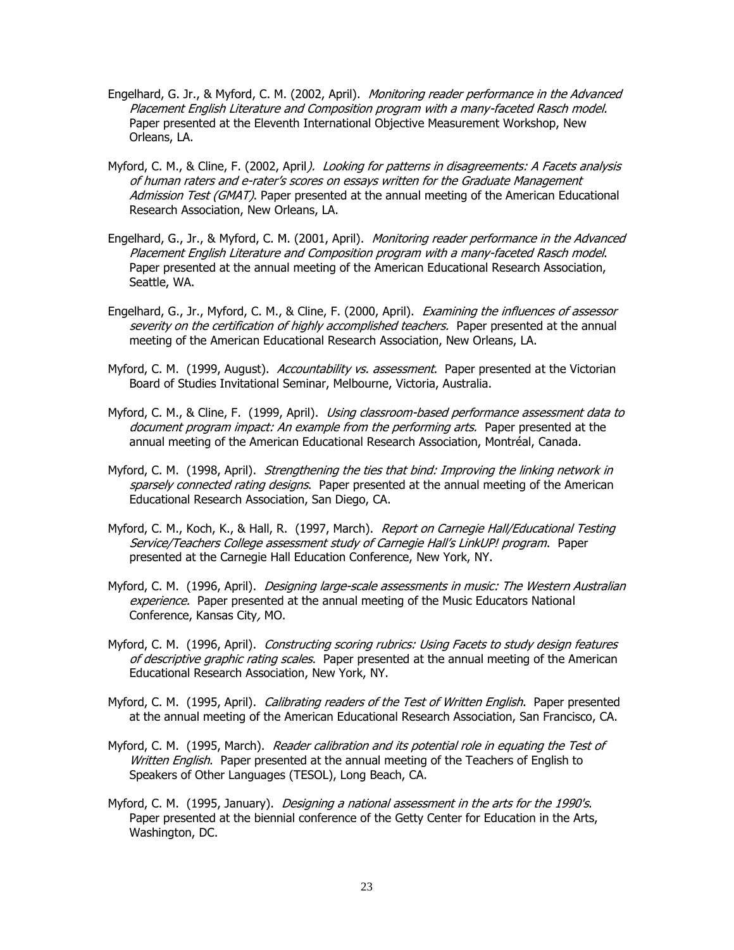- Engelhard, G. Jr., & Myford, C. M. (2002, April). Monitoring reader performance in the Advanced Placement English Literature and Composition program with a many-faceted Rasch model. Paper presented at the Eleventh International Objective Measurement Workshop, New Orleans, LA.
- Myford, C. M., & Cline, F. (2002, April). Looking for patterns in disagreements: A Facets analysis of human raters and e-rater's scores on essays written for the Graduate Management Admission Test (GMAT). Paper presented at the annual meeting of the American Educational Research Association, New Orleans, LA.
- Engelhard, G., Jr., & Myford, C. M. (2001, April). Monitoring reader performance in the Advanced Placement English Literature and Composition program with a many-faceted Rasch model. Paper presented at the annual meeting of the American Educational Research Association, Seattle, WA.
- Engelhard, G., Jr., Myford, C. M., & Cline, F. (2000, April). Examining the influences of assessor severity on the certification of highly accomplished teachers. Paper presented at the annual meeting of the American Educational Research Association, New Orleans, LA.
- Myford, C. M. (1999, August). Accountability vs. assessment. Paper presented at the Victorian Board of Studies Invitational Seminar, Melbourne, Victoria, Australia.
- Myford, C. M., & Cline, F. (1999, April). Using classroom-based performance assessment data to document program impact: An example from the performing arts. Paper presented at the annual meeting of the American Educational Research Association, Montréal, Canada.
- Myford, C. M. (1998, April). *Strengthening the ties that bind: Improving the linking network in* sparsely connected rating designs. Paper presented at the annual meeting of the American Educational Research Association, San Diego, CA.
- Myford, C. M., Koch, K., & Hall, R. (1997, March). Report on Carnegie Hall/Educational Testing Service/Teachers College assessment study of Carnegie Hall's LinkUP! program. Paper presented at the Carnegie Hall Education Conference, New York, NY.
- Myford, C. M. (1996, April). *Designing large-scale assessments in music: The Western Australian* experience. Paper presented at the annual meeting of the Music Educators National Conference, Kansas City, MO.
- Myford, C. M. (1996, April). Constructing scoring rubrics: Using Facets to study design features of descriptive graphic rating scales. Paper presented at the annual meeting of the American Educational Research Association, New York, NY.
- Myford, C. M. (1995, April). *Calibrating readers of the Test of Written English*. Paper presented at the annual meeting of the American Educational Research Association, San Francisco, CA.
- Myford, C. M. (1995, March). Reader calibration and its potential role in equating the Test of Written English. Paper presented at the annual meeting of the Teachers of English to Speakers of Other Languages (TESOL), Long Beach, CA.
- Myford, C. M. (1995, January). *Designing a national assessment in the arts for the 1990's*. Paper presented at the biennial conference of the Getty Center for Education in the Arts, Washington, DC.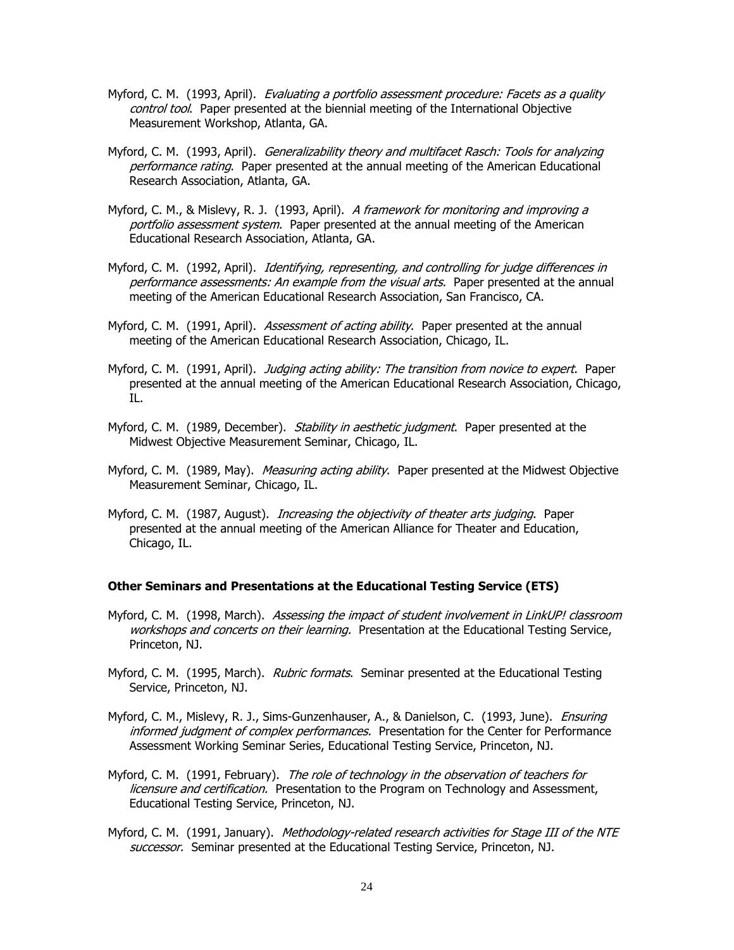- Myford, C. M. (1993, April). *Evaluating a portfolio assessment procedure: Facets as a quality* control tool. Paper presented at the biennial meeting of the International Objective Measurement Workshop, Atlanta, GA.
- Myford, C. M. (1993, April). Generalizability theory and multifacet Rasch: Tools for analyzing performance rating. Paper presented at the annual meeting of the American Educational Research Association, Atlanta, GA.
- Myford, C. M., & Mislevy, R. J. (1993, April). A framework for monitoring and improving a portfolio assessment system. Paper presented at the annual meeting of the American Educational Research Association, Atlanta, GA.
- Myford, C. M. (1992, April). *Identifying, representing, and controlling for judge differences in* performance assessments: An example from the visual arts. Paper presented at the annual meeting of the American Educational Research Association, San Francisco, CA.
- Myford, C. M. (1991, April). Assessment of acting ability. Paper presented at the annual meeting of the American Educational Research Association, Chicago, IL.
- Myford, C. M. (1991, April). *Judging acting ability: The transition from novice to expert*. Paper presented at the annual meeting of the American Educational Research Association, Chicago, IL.
- Myford, C. M. (1989, December). *Stability in aesthetic judgment*. Paper presented at the Midwest Objective Measurement Seminar, Chicago, IL.
- Myford, C. M. (1989, May). *Measuring acting ability*. Paper presented at the Midwest Objective Measurement Seminar, Chicago, IL.
- Myford, C. M. (1987, August). *Increasing the objectivity of theater arts judging*. Paper presented at the annual meeting of the American Alliance for Theater and Education, Chicago, IL.

#### **Other Seminars and Presentations at the Educational Testing Service (ETS)**

- Myford, C. M. (1998, March). Assessing the impact of student involvement in LinkUP! classroom workshops and concerts on their learning. Presentation at the Educational Testing Service, Princeton, NJ.
- Myford, C. M. (1995, March). Rubric formats. Seminar presented at the Educational Testing Service, Princeton, NJ.
- Myford, C. M., Mislevy, R. J., Sims-Gunzenhauser, A., & Danielson, C. (1993, June). *Ensuring* informed judgment of complex performances. Presentation for the Center for Performance Assessment Working Seminar Series, Educational Testing Service, Princeton, NJ.
- Myford, C. M. (1991, February). The role of technology in the observation of teachers for licensure and certification. Presentation to the Program on Technology and Assessment, Educational Testing Service, Princeton, NJ.
- Myford, C. M. (1991, January). Methodology-related research activities for Stage III of the NTE successor. Seminar presented at the Educational Testing Service, Princeton, NJ.